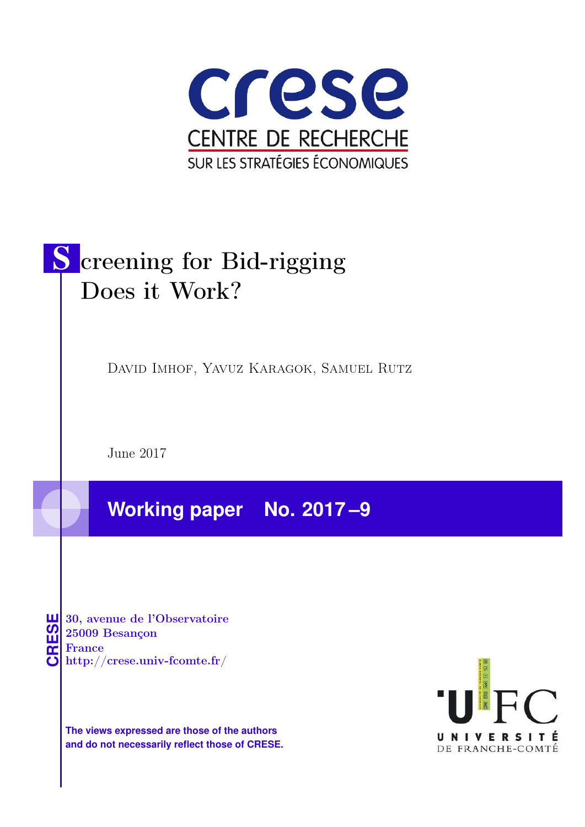

# S creening for Bid-rigging Does it Work?

David Imhof, Yavuz Karagok, Samuel Rutz

June 2017

**Working paper No. 2017 –9**

**CRESE 30, avenue de l'Observatoire<br>
25009 Besançon<br>
France<br>
<b>CRESE de l'Observatoire**<br>
Http://crese.univ-fcomte.fr/ 25009 Besançon France

**The views expressed are those of the authors and do not necessarily reflect those of CRESE.**

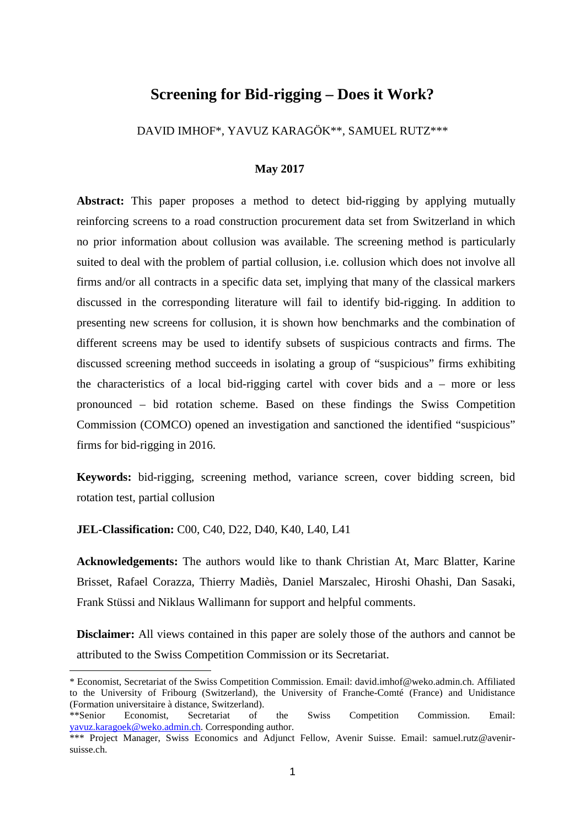# **Screening for Bid-rigging – Does it Work?**

DAVID IMHOF\*, YAVUZ KARAGÖK\*\*, SAMUEL RUTZ\*\*\*

#### **May 2017**

**Abstract:** This paper proposes a method to detect bid-rigging by applying mutually reinforcing screens to a road construction procurement data set from Switzerland in which no prior information about collusion was available. The screening method is particularly suited to deal with the problem of partial collusion, i.e. collusion which does not involve all firms and/or all contracts in a specific data set, implying that many of the classical markers discussed in the corresponding literature will fail to identify bid-rigging. In addition to presenting new screens for collusion, it is shown how benchmarks and the combination of different screens may be used to identify subsets of suspicious contracts and firms. The discussed screening method succeeds in isolating a group of "suspicious" firms exhibiting the characteristics of a local bid-rigging cartel with cover bids and a – more or less pronounced – bid rotation scheme. Based on these findings the Swiss Competition Commission (COMCO) opened an investigation and sanctioned the identified "suspicious" firms for bid-rigging in 2016.

**Keywords:** bid-rigging, screening method, variance screen, cover bidding screen, bid rotation test, partial collusion

**JEL-Classification:** C00, C40, D22, D40, K40, L40, L41

 $\overline{a}$ 

**Acknowledgements:** The authors would like to thank Christian At, Marc Blatter, Karine Brisset, Rafael Corazza, Thierry Madiès, Daniel Marszalec, Hiroshi Ohashi, Dan Sasaki, Frank Stüssi and Niklaus Wallimann for support and helpful comments.

**Disclaimer:** All views contained in this paper are solely those of the authors and cannot be attributed to the Swiss Competition Commission or its Secretariat.

<sup>\*</sup> Economist, Secretariat of the Swiss Competition Commission. Email: david.imhof@weko.admin.ch. Affiliated to the University of Fribourg (Switzerland), the University of Franche-Comté (France) and Unidistance (Formation universitaire à distance, Switzerland).

<sup>\*\*</sup>Senior Economist, Secretariat of the Swiss Competition Commission. Email: yavuz.karagoek@weko.admin.ch. Corresponding author.

<sup>\*\*\*</sup> Project Manager, Swiss Economics and Adjunct Fellow, Avenir Suisse. Email: samuel.rutz@avenirsuisse.ch.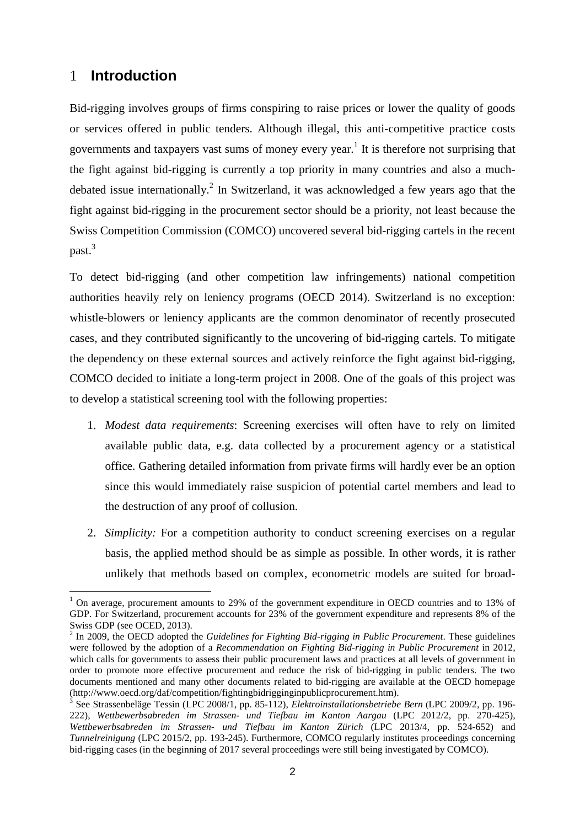# 1 **Introduction**

 $\overline{a}$ 

Bid-rigging involves groups of firms conspiring to raise prices or lower the quality of goods or services offered in public tenders. Although illegal, this anti-competitive practice costs governments and taxpayers vast sums of money every year.<sup>1</sup> It is therefore not surprising that the fight against bid-rigging is currently a top priority in many countries and also a muchdebated issue internationally.<sup>2</sup> In Switzerland, it was acknowledged a few years ago that the fight against bid-rigging in the procurement sector should be a priority, not least because the Swiss Competition Commission (COMCO) uncovered several bid-rigging cartels in the recent past.<sup>3</sup>

To detect bid-rigging (and other competition law infringements) national competition authorities heavily rely on leniency programs (OECD 2014). Switzerland is no exception: whistle-blowers or leniency applicants are the common denominator of recently prosecuted cases, and they contributed significantly to the uncovering of bid-rigging cartels. To mitigate the dependency on these external sources and actively reinforce the fight against bid-rigging, COMCO decided to initiate a long-term project in 2008. One of the goals of this project was to develop a statistical screening tool with the following properties:

- 1. *Modest data requirements*: Screening exercises will often have to rely on limited available public data, e.g. data collected by a procurement agency or a statistical office. Gathering detailed information from private firms will hardly ever be an option since this would immediately raise suspicion of potential cartel members and lead to the destruction of any proof of collusion.
- 2. *Simplicity:* For a competition authority to conduct screening exercises on a regular basis, the applied method should be as simple as possible. In other words, it is rather unlikely that methods based on complex, econometric models are suited for broad-

<sup>1</sup> On average, procurement amounts to 29% of the government expenditure in OECD countries and to 13% of GDP. For Switzerland, procurement accounts for 23% of the government expenditure and represents 8% of the Swiss GDP (see OCED, 2013).

<sup>2</sup> In 2009, the OECD adopted the *Guidelines for Fighting Bid-rigging in Public Procurement*. These guidelines were followed by the adoption of a *Recommendation on Fighting Bid-rigging in Public Procurement* in 2012, which calls for governments to assess their public procurement laws and practices at all levels of government in order to promote more effective procurement and reduce the risk of bid-rigging in public tenders. The two documents mentioned and many other documents related to bid-rigging are available at the OECD homepage (http://www.oecd.org/daf/competition/fightingbidrigginginpublicprocurement.htm).

<sup>3</sup> See Strassenbeläge Tessin (LPC 2008/1, pp. 85-112), *Elektroinstallationsbetriebe Bern* (LPC 2009/2, pp. 196- 222), *Wettbewerbsabreden im Strassen- und Tiefbau im Kanton Aargau* (LPC 2012/2, pp. 270-425), *Wettbewerbsabreden im Strassen- und Tiefbau im Kanton Zürich* (LPC 2013/4, pp. 524-652) and *Tunnelreinigung* (LPC 2015/2, pp. 193-245). Furthermore, COMCO regularly institutes proceedings concerning bid-rigging cases (in the beginning of 2017 several proceedings were still being investigated by COMCO).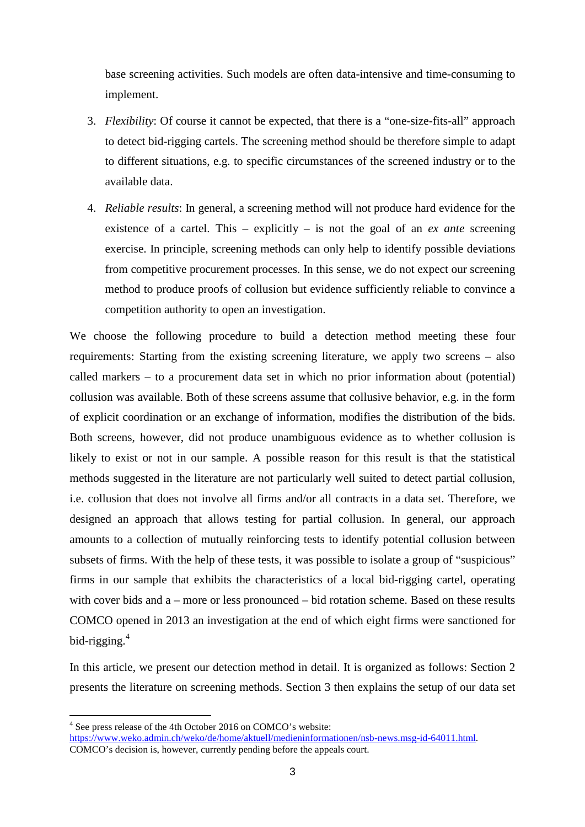base screening activities. Such models are often data-intensive and time-consuming to implement.

- 3. *Flexibility*: Of course it cannot be expected, that there is a "one-size-fits-all" approach to detect bid-rigging cartels. The screening method should be therefore simple to adapt to different situations, e.g. to specific circumstances of the screened industry or to the available data.
- 4. *Reliable results*: In general, a screening method will not produce hard evidence for the existence of a cartel. This – explicitly – is not the goal of an *ex ante* screening exercise. In principle, screening methods can only help to identify possible deviations from competitive procurement processes. In this sense, we do not expect our screening method to produce proofs of collusion but evidence sufficiently reliable to convince a competition authority to open an investigation.

We choose the following procedure to build a detection method meeting these four requirements: Starting from the existing screening literature, we apply two screens – also called markers – to a procurement data set in which no prior information about (potential) collusion was available. Both of these screens assume that collusive behavior, e.g. in the form of explicit coordination or an exchange of information, modifies the distribution of the bids. Both screens, however, did not produce unambiguous evidence as to whether collusion is likely to exist or not in our sample. A possible reason for this result is that the statistical methods suggested in the literature are not particularly well suited to detect partial collusion, i.e. collusion that does not involve all firms and/or all contracts in a data set. Therefore, we designed an approach that allows testing for partial collusion. In general, our approach amounts to a collection of mutually reinforcing tests to identify potential collusion between subsets of firms. With the help of these tests, it was possible to isolate a group of "suspicious" firms in our sample that exhibits the characteristics of a local bid-rigging cartel, operating with cover bids and a – more or less pronounced – bid rotation scheme. Based on these results COMCO opened in 2013 an investigation at the end of which eight firms were sanctioned for bid-rigging.<sup>4</sup>

In this article, we present our detection method in detail. It is organized as follows: Section 2 presents the literature on screening methods. Section 3 then explains the setup of our data set

<sup>&</sup>lt;sup>4</sup> See press release of the 4th October 2016 on COMCO's website:

https://www.weko.admin.ch/weko/de/home/aktuell/medieninformationen/nsb-news.msg-id-64011.html. COMCO's decision is, however, currently pending before the appeals court.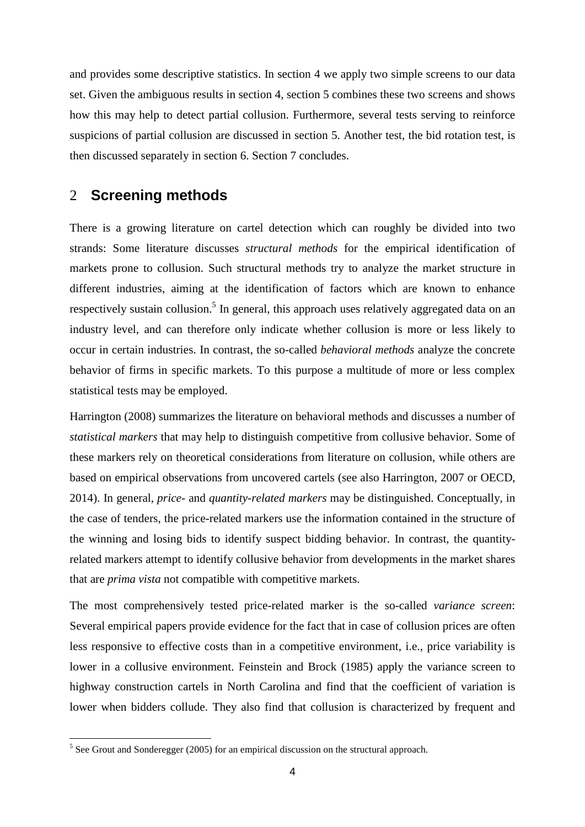and provides some descriptive statistics. In section 4 we apply two simple screens to our data set. Given the ambiguous results in section 4, section 5 combines these two screens and shows how this may help to detect partial collusion. Furthermore, several tests serving to reinforce suspicions of partial collusion are discussed in section 5. Another test, the bid rotation test, is then discussed separately in section 6. Section 7 concludes.

# 2 **Screening methods**

There is a growing literature on cartel detection which can roughly be divided into two strands: Some literature discusses *structural methods* for the empirical identification of markets prone to collusion. Such structural methods try to analyze the market structure in different industries, aiming at the identification of factors which are known to enhance respectively sustain collusion.<sup>5</sup> In general, this approach uses relatively aggregated data on an industry level, and can therefore only indicate whether collusion is more or less likely to occur in certain industries. In contrast, the so-called *behavioral methods* analyze the concrete behavior of firms in specific markets. To this purpose a multitude of more or less complex statistical tests may be employed.

Harrington (2008) summarizes the literature on behavioral methods and discusses a number of *statistical markers* that may help to distinguish competitive from collusive behavior. Some of these markers rely on theoretical considerations from literature on collusion, while others are based on empirical observations from uncovered cartels (see also Harrington, 2007 or OECD, 2014). In general, *price-* and *quantity-related markers* may be distinguished. Conceptually, in the case of tenders, the price-related markers use the information contained in the structure of the winning and losing bids to identify suspect bidding behavior. In contrast, the quantityrelated markers attempt to identify collusive behavior from developments in the market shares that are *prima vista* not compatible with competitive markets.

The most comprehensively tested price-related marker is the so-called *variance screen*: Several empirical papers provide evidence for the fact that in case of collusion prices are often less responsive to effective costs than in a competitive environment, i.e., price variability is lower in a collusive environment. Feinstein and Brock (1985) apply the variance screen to highway construction cartels in North Carolina and find that the coefficient of variation is lower when bidders collude. They also find that collusion is characterized by frequent and

<sup>&</sup>lt;sup>5</sup> See Grout and Sonderegger (2005) for an empirical discussion on the structural approach.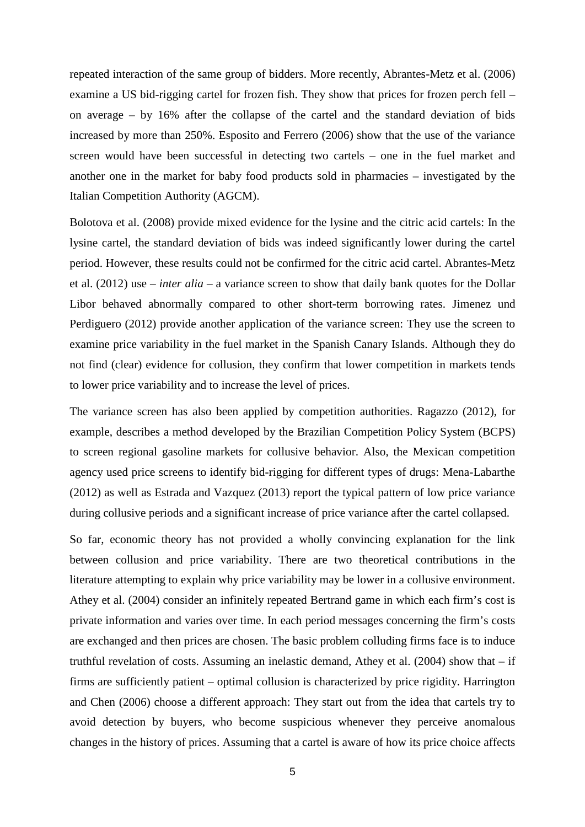repeated interaction of the same group of bidders. More recently, Abrantes-Metz et al. (2006) examine a US bid-rigging cartel for frozen fish. They show that prices for frozen perch fell – on average – by 16% after the collapse of the cartel and the standard deviation of bids increased by more than 250%. Esposito and Ferrero (2006) show that the use of the variance screen would have been successful in detecting two cartels – one in the fuel market and another one in the market for baby food products sold in pharmacies – investigated by the Italian Competition Authority (AGCM).

Bolotova et al. (2008) provide mixed evidence for the lysine and the citric acid cartels: In the lysine cartel, the standard deviation of bids was indeed significantly lower during the cartel period. However, these results could not be confirmed for the citric acid cartel. Abrantes-Metz et al. (2012) use – *inter alia* – a variance screen to show that daily bank quotes for the Dollar Libor behaved abnormally compared to other short-term borrowing rates. Jimenez und Perdiguero (2012) provide another application of the variance screen: They use the screen to examine price variability in the fuel market in the Spanish Canary Islands. Although they do not find (clear) evidence for collusion, they confirm that lower competition in markets tends to lower price variability and to increase the level of prices.

The variance screen has also been applied by competition authorities. Ragazzo (2012), for example, describes a method developed by the Brazilian Competition Policy System (BCPS) to screen regional gasoline markets for collusive behavior. Also, the Mexican competition agency used price screens to identify bid-rigging for different types of drugs: Mena-Labarthe (2012) as well as Estrada and Vazquez (2013) report the typical pattern of low price variance during collusive periods and a significant increase of price variance after the cartel collapsed.

So far, economic theory has not provided a wholly convincing explanation for the link between collusion and price variability. There are two theoretical contributions in the literature attempting to explain why price variability may be lower in a collusive environment. Athey et al. (2004) consider an infinitely repeated Bertrand game in which each firm's cost is private information and varies over time. In each period messages concerning the firm's costs are exchanged and then prices are chosen. The basic problem colluding firms face is to induce truthful revelation of costs. Assuming an inelastic demand, Athey et al.  $(2004)$  show that – if firms are sufficiently patient – optimal collusion is characterized by price rigidity. Harrington and Chen (2006) choose a different approach: They start out from the idea that cartels try to avoid detection by buyers, who become suspicious whenever they perceive anomalous changes in the history of prices. Assuming that a cartel is aware of how its price choice affects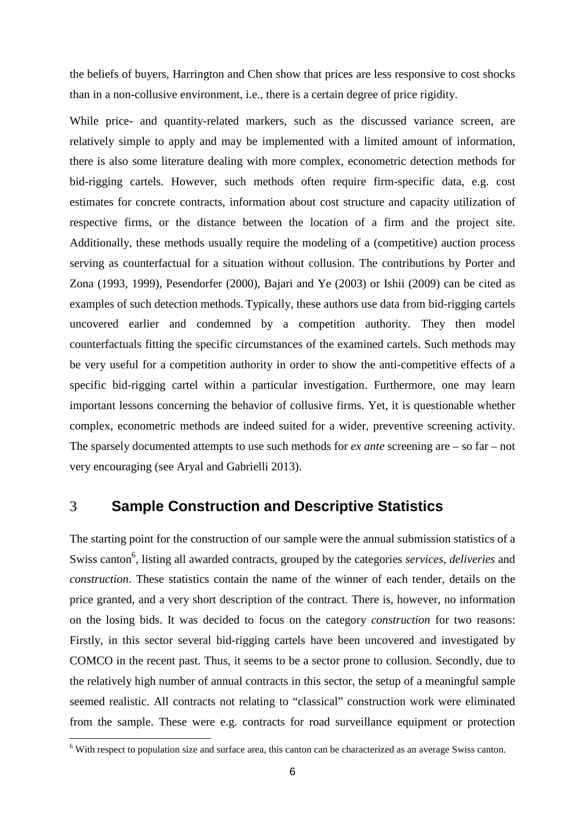the beliefs of buyers, Harrington and Chen show that prices are less responsive to cost shocks than in a non-collusive environment, i.e., there is a certain degree of price rigidity.

While price- and quantity-related markers, such as the discussed variance screen, are relatively simple to apply and may be implemented with a limited amount of information, there is also some literature dealing with more complex, econometric detection methods for bid-rigging cartels. However, such methods often require firm-specific data, e.g. cost estimates for concrete contracts, information about cost structure and capacity utilization of respective firms, or the distance between the location of a firm and the project site. Additionally, these methods usually require the modeling of a (competitive) auction process serving as counterfactual for a situation without collusion. The contributions by Porter and Zona (1993, 1999), Pesendorfer (2000), Bajari and Ye (2003) or Ishii (2009) can be cited as examples of such detection methods. Typically, these authors use data from bid-rigging cartels uncovered earlier and condemned by a competition authority. They then model counterfactuals fitting the specific circumstances of the examined cartels. Such methods may be very useful for a competition authority in order to show the anti-competitive effects of a specific bid-rigging cartel within a particular investigation. Furthermore, one may learn important lessons concerning the behavior of collusive firms. Yet, it is questionable whether complex, econometric methods are indeed suited for a wider, preventive screening activity. The sparsely documented attempts to use such methods for *ex ante* screening are – so far – not very encouraging (see Aryal and Gabrielli 2013).

# 3 **Sample Construction and Descriptive Statistics**

The starting point for the construction of our sample were the annual submission statistics of a Swiss canton<sup>6</sup>, listing all awarded contracts, grouped by the categories *services*, *deliveries* and *construction*. These statistics contain the name of the winner of each tender, details on the price granted, and a very short description of the contract. There is, however, no information on the losing bids. It was decided to focus on the category *construction* for two reasons: Firstly, in this sector several bid-rigging cartels have been uncovered and investigated by COMCO in the recent past. Thus, it seems to be a sector prone to collusion. Secondly, due to the relatively high number of annual contracts in this sector, the setup of a meaningful sample seemed realistic. All contracts not relating to "classical" construction work were eliminated from the sample. These were e.g. contracts for road surveillance equipment or protection

<sup>&</sup>lt;sup>6</sup> With respect to population size and surface area, this canton can be characterized as an average Swiss canton.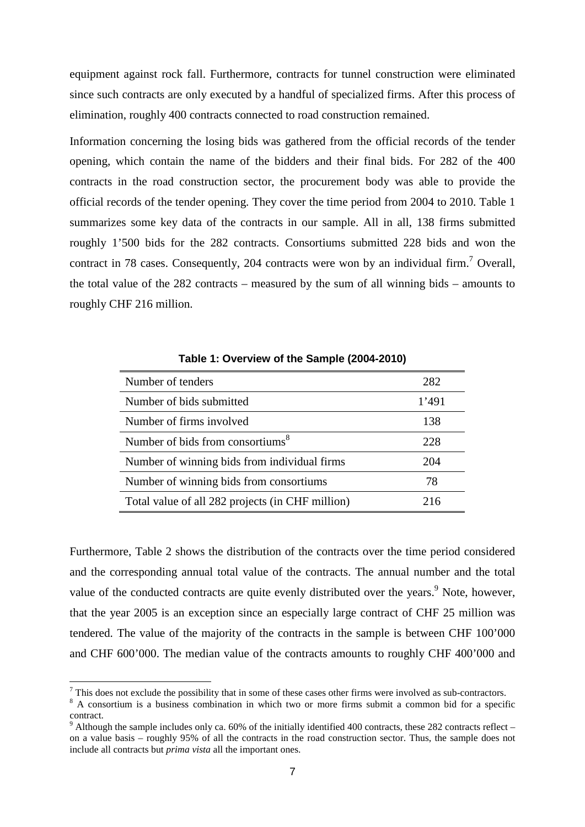equipment against rock fall. Furthermore, contracts for tunnel construction were eliminated since such contracts are only executed by a handful of specialized firms. After this process of elimination, roughly 400 contracts connected to road construction remained.

Information concerning the losing bids was gathered from the official records of the tender opening, which contain the name of the bidders and their final bids. For 282 of the 400 contracts in the road construction sector, the procurement body was able to provide the official records of the tender opening. They cover the time period from 2004 to 2010. Table 1 summarizes some key data of the contracts in our sample. All in all, 138 firms submitted roughly 1'500 bids for the 282 contracts. Consortiums submitted 228 bids and won the contract in 78 cases. Consequently, 204 contracts were won by an individual firm.<sup>7</sup> Overall, the total value of the 282 contracts – measured by the sum of all winning bids – amounts to roughly CHF 216 million.

| Number of tenders                                | 282   |
|--------------------------------------------------|-------|
| Number of bids submitted                         | 1'491 |
| Number of firms involved                         | 138   |
| Number of bids from consortiums <sup>8</sup>     | 228   |
| Number of winning bids from individual firms     | 204   |
| Number of winning bids from consortiums          | 78    |
| Total value of all 282 projects (in CHF million) | 216   |

**Table 1: Overview of the Sample (2004-2010)**

Furthermore, Table 2 shows the distribution of the contracts over the time period considered and the corresponding annual total value of the contracts. The annual number and the total value of the conducted contracts are quite evenly distributed over the years.<sup>9</sup> Note, however, that the year 2005 is an exception since an especially large contract of CHF 25 million was tendered. The value of the majority of the contracts in the sample is between CHF 100'000 and CHF 600'000. The median value of the contracts amounts to roughly CHF 400'000 and

 $<sup>7</sup>$  This does not exclude the possibility that in some of these cases other firms were involved as sub-contractors.</sup>

<sup>&</sup>lt;sup>8</sup> A consortium is a business combination in which two or more firms submit a common bid for a specific contract.

<sup>9</sup> Although the sample includes only ca. 60% of the initially identified 400 contracts, these 282 contracts reflect – on a value basis – roughly 95% of all the contracts in the road construction sector. Thus, the sample does not include all contracts but *prima vista* all the important ones.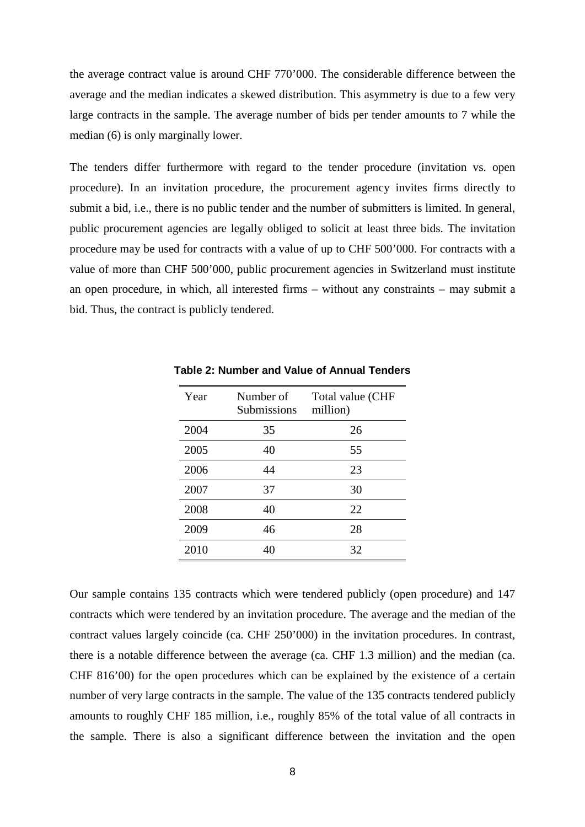the average contract value is around CHF 770'000. The considerable difference between the average and the median indicates a skewed distribution. This asymmetry is due to a few very large contracts in the sample. The average number of bids per tender amounts to 7 while the median (6) is only marginally lower.

The tenders differ furthermore with regard to the tender procedure (invitation vs. open procedure). In an invitation procedure, the procurement agency invites firms directly to submit a bid, i.e., there is no public tender and the number of submitters is limited. In general, public procurement agencies are legally obliged to solicit at least three bids. The invitation procedure may be used for contracts with a value of up to CHF 500'000. For contracts with a value of more than CHF 500'000, public procurement agencies in Switzerland must institute an open procedure, in which, all interested firms – without any constraints – may submit a bid. Thus, the contract is publicly tendered.

| Year | Number of<br>Submissions | Total value (CHF<br>million) |
|------|--------------------------|------------------------------|
| 2004 | 35                       | 26                           |
| 2005 | 40                       | 55                           |
| 2006 | 44                       | 23                           |
| 2007 | 37                       | 30                           |
| 2008 | 40                       | 22                           |
| 2009 | 46                       | 28                           |
| 2010 | 40                       | 32                           |

**Table 2: Number and Value of Annual Tenders**

Our sample contains 135 contracts which were tendered publicly (open procedure) and 147 contracts which were tendered by an invitation procedure. The average and the median of the contract values largely coincide (ca. CHF 250'000) in the invitation procedures. In contrast, there is a notable difference between the average (ca. CHF 1.3 million) and the median (ca. CHF 816'00) for the open procedures which can be explained by the existence of a certain number of very large contracts in the sample. The value of the 135 contracts tendered publicly amounts to roughly CHF 185 million, i.e., roughly 85% of the total value of all contracts in the sample. There is also a significant difference between the invitation and the open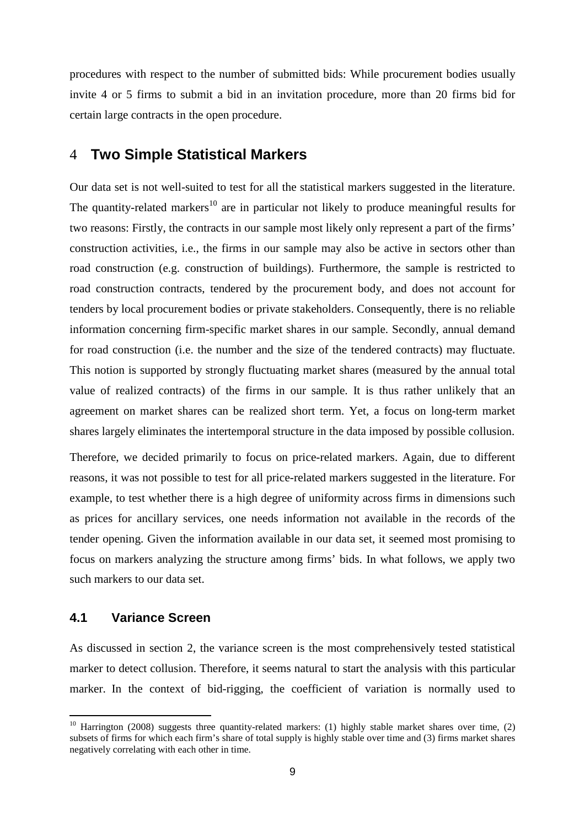procedures with respect to the number of submitted bids: While procurement bodies usually invite 4 or 5 firms to submit a bid in an invitation procedure, more than 20 firms bid for certain large contracts in the open procedure.

## 4 **Two Simple Statistical Markers**

Our data set is not well-suited to test for all the statistical markers suggested in the literature. The quantity-related markers<sup>10</sup> are in particular not likely to produce meaningful results for two reasons: Firstly, the contracts in our sample most likely only represent a part of the firms' construction activities, i.e., the firms in our sample may also be active in sectors other than road construction (e.g. construction of buildings). Furthermore, the sample is restricted to road construction contracts, tendered by the procurement body, and does not account for tenders by local procurement bodies or private stakeholders. Consequently, there is no reliable information concerning firm-specific market shares in our sample. Secondly, annual demand for road construction (i.e. the number and the size of the tendered contracts) may fluctuate. This notion is supported by strongly fluctuating market shares (measured by the annual total value of realized contracts) of the firms in our sample. It is thus rather unlikely that an agreement on market shares can be realized short term. Yet, a focus on long-term market shares largely eliminates the intertemporal structure in the data imposed by possible collusion.

Therefore, we decided primarily to focus on price-related markers. Again, due to different reasons, it was not possible to test for all price-related markers suggested in the literature. For example, to test whether there is a high degree of uniformity across firms in dimensions such as prices for ancillary services, one needs information not available in the records of the tender opening. Given the information available in our data set, it seemed most promising to focus on markers analyzing the structure among firms' bids. In what follows, we apply two such markers to our data set.

## **4.1 Variance Screen**

 $\overline{a}$ 

As discussed in section 2, the variance screen is the most comprehensively tested statistical marker to detect collusion. Therefore, it seems natural to start the analysis with this particular marker. In the context of bid-rigging, the coefficient of variation is normally used to

<sup>&</sup>lt;sup>10</sup> Harrington (2008) suggests three quantity-related markers: (1) highly stable market shares over time, (2) subsets of firms for which each firm's share of total supply is highly stable over time and (3) firms market shares negatively correlating with each other in time.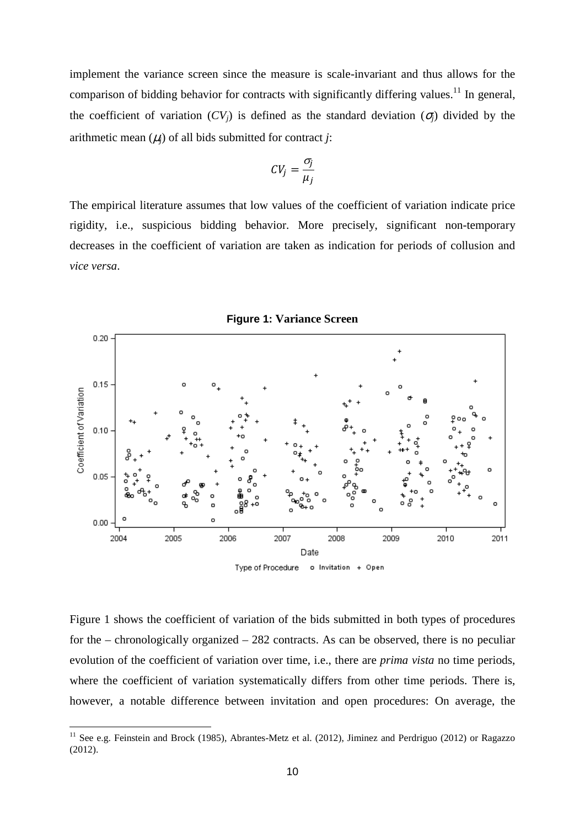implement the variance screen since the measure is scale-invariant and thus allows for the comparison of bidding behavior for contracts with significantly differing values.<sup>11</sup> In general, the coefficient of variation  $(CV_i)$  is defined as the standard deviation  $(\sigma_i)$  divided by the arithmetic mean  $(\mu_i)$  of all bids submitted for contract *j*:

$$
CV_j = \frac{\sigma_j}{\mu_j}
$$

The empirical literature assumes that low values of the coefficient of variation indicate price rigidity, i.e., suspicious bidding behavior. More precisely, significant non-temporary decreases in the coefficient of variation are taken as indication for periods of collusion and *vice versa*.



Figure 1 shows the coefficient of variation of the bids submitted in both types of procedures for the – chronologically organized – 282 contracts. As can be observed, there is no peculiar evolution of the coefficient of variation over time, i.e., there are *prima vista* no time periods, where the coefficient of variation systematically differs from other time periods. There is, however, a notable difference between invitation and open procedures: On average, the

<sup>&</sup>lt;sup>11</sup> See e.g. Feinstein and Brock (1985), Abrantes-Metz et al. (2012), Jiminez and Perdriguo (2012) or Ragazzo (2012).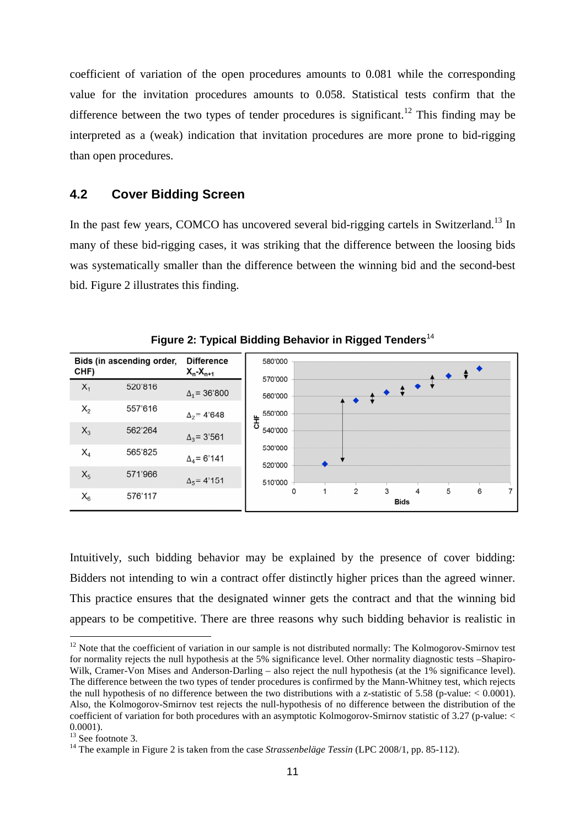coefficient of variation of the open procedures amounts to 0.081 while the corresponding value for the invitation procedures amounts to 0.058. Statistical tests confirm that the difference between the two types of tender procedures is significant.<sup>12</sup> This finding may be interpreted as a (weak) indication that invitation procedures are more prone to bid-rigging than open procedures.

## **4.2 Cover Bidding Screen**

In the past few years, COMCO has uncovered several bid-rigging cartels in Switzerland.<sup>13</sup> In many of these bid-rigging cases, it was striking that the difference between the loosing bids was systematically smaller than the difference between the winning bid and the second-best bid. Figure 2 illustrates this finding.

| CHF)  | Bids (in ascending order, | <b>Difference</b><br>$X_n-X_{n+1}$ | 580'000            |   |                |                                                                                                                                                                                                                                                                                                                                                                                                                                                                                                                                                                                                                                             |   |   |   |   |
|-------|---------------------------|------------------------------------|--------------------|---|----------------|---------------------------------------------------------------------------------------------------------------------------------------------------------------------------------------------------------------------------------------------------------------------------------------------------------------------------------------------------------------------------------------------------------------------------------------------------------------------------------------------------------------------------------------------------------------------------------------------------------------------------------------------|---|---|---|---|
| $X_1$ | 520'816                   | $\Delta_1$ = 36'800                | 570'000<br>560'000 |   |                | $\begin{array}{c c c c c} \hline \multicolumn{3}{c }{\leftrightarrow} & \multicolumn{3}{c}{\leftrightarrow} & \multicolumn{3}{c}{\leftrightarrow} & \multicolumn{3}{c}{\leftrightarrow} & \multicolumn{3}{c}{\leftrightarrow} & \multicolumn{3}{c}{\leftrightarrow} & \multicolumn{3}{c}{\leftrightarrow} & \multicolumn{3}{c}{\leftrightarrow} & \multicolumn{3}{c}{\leftrightarrow} & \multicolumn{3}{c}{\leftrightarrow} & \multicolumn{3}{c}{\leftrightarrow} & \multicolumn{3}{c}{\leftrightarrow} & \multicolumn{3}{c}{\leftrightarrow} & \multicolumn{3}{c}{\leftrightarrow} & \multicolumn{3}{c}{\leftrightarrow} & \multicolumn{3$ |   |   |   |   |
| $X_2$ | 557'616                   | $\Delta_2$ = 4'648                 | 550'000<br>놓       |   |                |                                                                                                                                                                                                                                                                                                                                                                                                                                                                                                                                                                                                                                             |   |   |   |   |
| $X_3$ | 562'264                   | $\Delta_3$ = 3'561                 | 540'000            |   |                |                                                                                                                                                                                                                                                                                                                                                                                                                                                                                                                                                                                                                                             |   |   |   |   |
| $X_4$ | 565'825                   | $\Delta_4$ = 6'141                 | 530'000<br>520'000 |   |                |                                                                                                                                                                                                                                                                                                                                                                                                                                                                                                                                                                                                                                             |   |   |   |   |
| $X_5$ | 571'966                   | $\Delta_5$ = 4'151                 | 510'000            |   |                |                                                                                                                                                                                                                                                                                                                                                                                                                                                                                                                                                                                                                                             |   |   |   |   |
| $X_6$ | 576'117                   |                                    | 0                  | 1 | $\overline{2}$ | 3<br><b>Bids</b>                                                                                                                                                                                                                                                                                                                                                                                                                                                                                                                                                                                                                            | 4 | 5 | 6 | 7 |

**Figure 2: Typical Bidding Behavior in Rigged Tenders** 14

Intuitively, such bidding behavior may be explained by the presence of cover bidding: Bidders not intending to win a contract offer distinctly higher prices than the agreed winner. This practice ensures that the designated winner gets the contract and that the winning bid appears to be competitive. There are three reasons why such bidding behavior is realistic in

 $12$  Note that the coefficient of variation in our sample is not distributed normally: The Kolmogorov-Smirnov test for normality rejects the null hypothesis at the 5% significance level. Other normality diagnostic tests –Shapiro-Wilk, Cramer-Von Mises and Anderson-Darling – also reject the null hypothesis (at the 1% significance level). The difference between the two types of tender procedures is confirmed by the Mann-Whitney test, which rejects the null hypothesis of no difference between the two distributions with a z-statistic of 5.58 (p-value:  $< 0.0001$ ). Also, the Kolmogorov-Smirnov test rejects the null-hypothesis of no difference between the distribution of the coefficient of variation for both procedures with an asymptotic Kolmogorov-Smirnov statistic of 3.27 (p-value: < 0.0001).

 $13$  See footnote 3.

<sup>&</sup>lt;sup>14</sup> The example in Figure 2 is taken from the case *Strassenbeläge Tessin* (LPC 2008/1, pp. 85-112).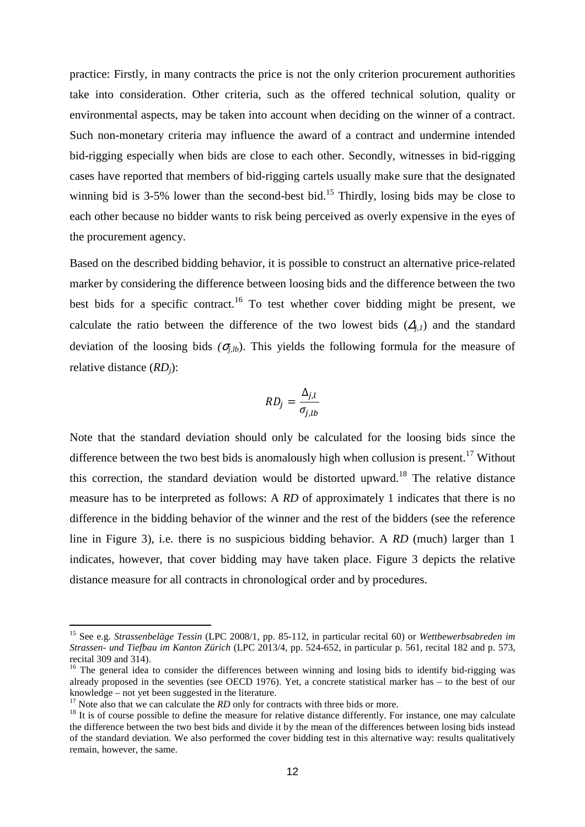practice: Firstly, in many contracts the price is not the only criterion procurement authorities take into consideration. Other criteria, such as the offered technical solution, quality or environmental aspects, may be taken into account when deciding on the winner of a contract. Such non-monetary criteria may influence the award of a contract and undermine intended bid-rigging especially when bids are close to each other. Secondly, witnesses in bid-rigging cases have reported that members of bid-rigging cartels usually make sure that the designated winning bid is 3-5% lower than the second-best bid.<sup>15</sup> Thirdly, losing bids may be close to each other because no bidder wants to risk being perceived as overly expensive in the eyes of the procurement agency.

Based on the described bidding behavior, it is possible to construct an alternative price-related marker by considering the difference between loosing bids and the difference between the two best bids for a specific contract.<sup>16</sup> To test whether cover bidding might be present, we calculate the ratio between the difference of the two lowest bids  $(\Delta_i)$  and the standard deviation of the loosing bids  $(\sigma_{ijk})$ . This yields the following formula for the measure of relative distance (*RDj*):

$$
RD_j = \frac{\Delta_{j,l}}{\sigma_{j,lb}}
$$

Note that the standard deviation should only be calculated for the loosing bids since the difference between the two best bids is anomalously high when collusion is present.<sup>17</sup> Without this correction, the standard deviation would be distorted upward.<sup>18</sup> The relative distance measure has to be interpreted as follows: A *RD* of approximately 1 indicates that there is no difference in the bidding behavior of the winner and the rest of the bidders (see the reference line in Figure 3), i.e. there is no suspicious bidding behavior. A *RD* (much) larger than 1 indicates, however, that cover bidding may have taken place. Figure 3 depicts the relative distance measure for all contracts in chronological order and by procedures.

<sup>15</sup> See e.g. *Strassenbeläge Tessin* (LPC 2008/1, pp. 85-112, in particular recital 60) or *Wettbewerbsabreden im Strassen- und Tiefbau im Kanton Zürich* (LPC 2013/4, pp. 524-652, in particular p. 561, recital 182 and p. 573, recital 309 and 314).

<sup>&</sup>lt;sup>16</sup> The general idea to consider the differences between winning and losing bids to identify bid-rigging was already proposed in the seventies (see OECD 1976). Yet, a concrete statistical marker has – to the best of our knowledge – not yet been suggested in the literature.

<sup>&</sup>lt;sup>17</sup> Note also that we can calculate the *RD* only for contracts with three bids or more.

 $18$  It is of course possible to define the measure for relative distance differently. For instance, one may calculate the difference between the two best bids and divide it by the mean of the differences between losing bids instead of the standard deviation. We also performed the cover bidding test in this alternative way: results qualitatively remain, however, the same.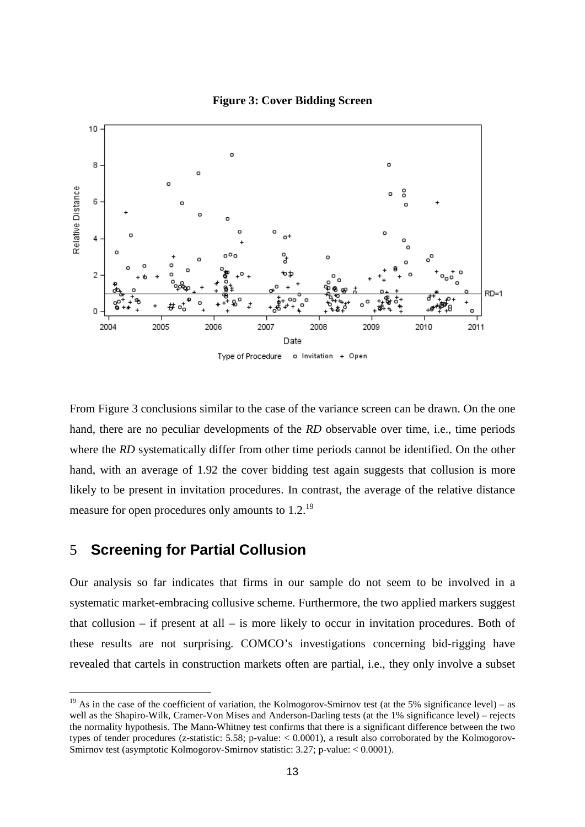

#### **Figure 3: Cover Bidding Screen**

From Figure 3 conclusions similar to the case of the variance screen can be drawn. On the one hand, there are no peculiar developments of the *RD* observable over time, i.e., time periods where the *RD* systematically differ from other time periods cannot be identified. On the other hand, with an average of 1.92 the cover bidding test again suggests that collusion is more likely to be present in invitation procedures. In contrast, the average of the relative distance measure for open procedures only amounts to 1.2.<sup>19</sup>

# 5 **Screening for Partial Collusion**

 $\overline{a}$ 

Our analysis so far indicates that firms in our sample do not seem to be involved in a systematic market-embracing collusive scheme. Furthermore, the two applied markers suggest that collusion – if present at all – is more likely to occur in invitation procedures. Both of these results are not surprising. COMCO's investigations concerning bid-rigging have revealed that cartels in construction markets often are partial, i.e., they only involve a subset

<sup>&</sup>lt;sup>19</sup> As in the case of the coefficient of variation, the Kolmogorov-Smirnov test (at the 5% significance level) – as well as the Shapiro-Wilk, Cramer-Von Mises and Anderson-Darling tests (at the 1% significance level) – rejects the normality hypothesis. The Mann-Whitney test confirms that there is a significant difference between the two types of tender procedures (z-statistic:  $5.58$ ; p-value:  $< 0.0001$ ), a result also corroborated by the Kolmogorov-Smirnov test (asymptotic Kolmogorov-Smirnov statistic: 3.27; p-value: < 0.0001).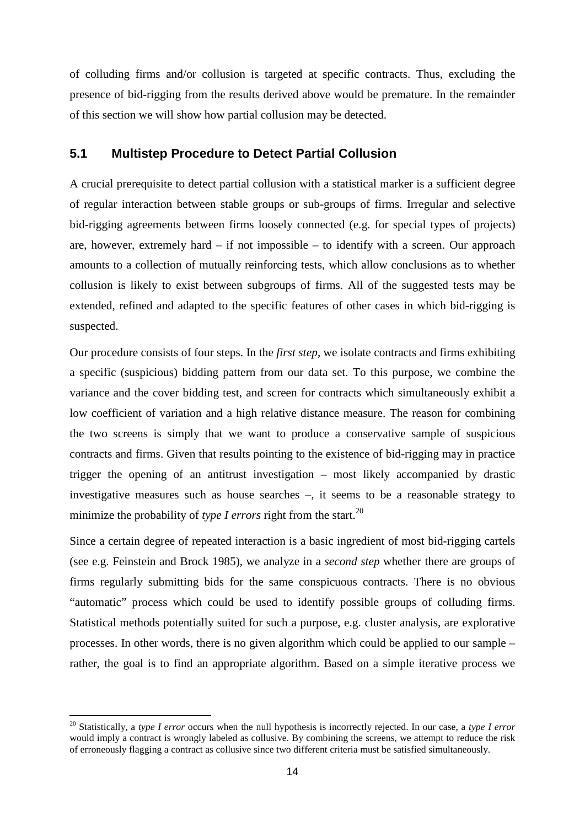of colluding firms and/or collusion is targeted at specific contracts. Thus, excluding the presence of bid-rigging from the results derived above would be premature. In the remainder of this section we will show how partial collusion may be detected.

## **5.1 Multistep Procedure to Detect Partial Collusion**

A crucial prerequisite to detect partial collusion with a statistical marker is a sufficient degree of regular interaction between stable groups or sub-groups of firms. Irregular and selective bid-rigging agreements between firms loosely connected (e.g. for special types of projects) are, however, extremely hard  $-$  if not impossible  $-$  to identify with a screen. Our approach amounts to a collection of mutually reinforcing tests, which allow conclusions as to whether collusion is likely to exist between subgroups of firms. All of the suggested tests may be extended, refined and adapted to the specific features of other cases in which bid-rigging is suspected.

Our procedure consists of four steps. In the *first step*, we isolate contracts and firms exhibiting a specific (suspicious) bidding pattern from our data set. To this purpose, we combine the variance and the cover bidding test, and screen for contracts which simultaneously exhibit a low coefficient of variation and a high relative distance measure. The reason for combining the two screens is simply that we want to produce a conservative sample of suspicious contracts and firms. Given that results pointing to the existence of bid-rigging may in practice trigger the opening of an antitrust investigation – most likely accompanied by drastic investigative measures such as house searches –, it seems to be a reasonable strategy to minimize the probability of *type I errors* right from the start.<sup>20</sup>

Since a certain degree of repeated interaction is a basic ingredient of most bid-rigging cartels (see e.g. Feinstein and Brock 1985), we analyze in a *second step* whether there are groups of firms regularly submitting bids for the same conspicuous contracts. There is no obvious "automatic" process which could be used to identify possible groups of colluding firms. Statistical methods potentially suited for such a purpose, e.g. cluster analysis, are explorative processes. In other words, there is no given algorithm which could be applied to our sample – rather, the goal is to find an appropriate algorithm. Based on a simple iterative process we

<sup>20</sup> Statistically, a *type I error* occurs when the null hypothesis is incorrectly rejected. In our case, a *type I error* would imply a contract is wrongly labeled as collusive. By combining the screens, we attempt to reduce the risk of erroneously flagging a contract as collusive since two different criteria must be satisfied simultaneously.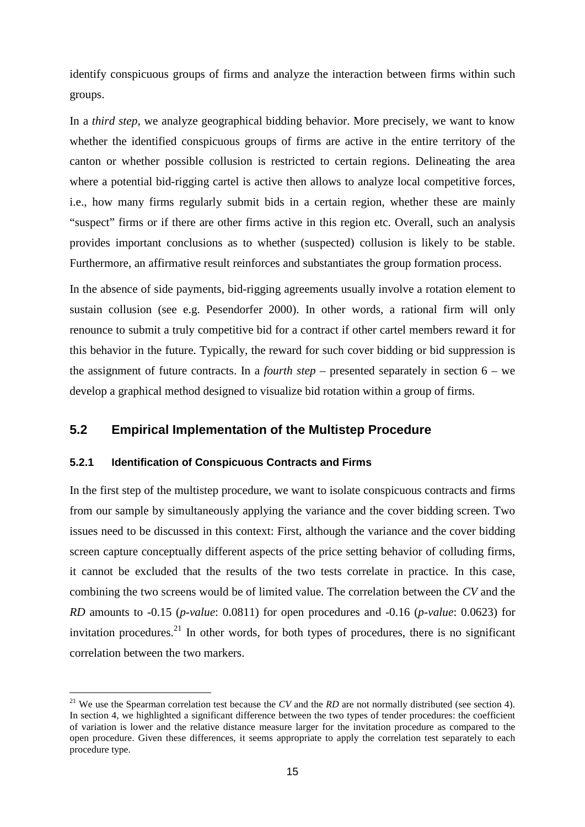identify conspicuous groups of firms and analyze the interaction between firms within such groups.

In a *third step*, we analyze geographical bidding behavior. More precisely, we want to know whether the identified conspicuous groups of firms are active in the entire territory of the canton or whether possible collusion is restricted to certain regions. Delineating the area where a potential bid-rigging cartel is active then allows to analyze local competitive forces, i.e., how many firms regularly submit bids in a certain region, whether these are mainly "suspect" firms or if there are other firms active in this region etc. Overall, such an analysis provides important conclusions as to whether (suspected) collusion is likely to be stable. Furthermore, an affirmative result reinforces and substantiates the group formation process.

In the absence of side payments, bid-rigging agreements usually involve a rotation element to sustain collusion (see e.g. Pesendorfer 2000). In other words, a rational firm will only renounce to submit a truly competitive bid for a contract if other cartel members reward it for this behavior in the future. Typically, the reward for such cover bidding or bid suppression is the assignment of future contracts. In a *fourth step* – presented separately in section 6 – we develop a graphical method designed to visualize bid rotation within a group of firms.

## **5.2 Empirical Implementation of the Multistep Procedure**

#### **5.2.1 Identification of Conspicuous Contracts and Firms**

 $\overline{a}$ 

In the first step of the multistep procedure, we want to isolate conspicuous contracts and firms from our sample by simultaneously applying the variance and the cover bidding screen. Two issues need to be discussed in this context: First, although the variance and the cover bidding screen capture conceptually different aspects of the price setting behavior of colluding firms, it cannot be excluded that the results of the two tests correlate in practice. In this case, combining the two screens would be of limited value. The correlation between the *CV* and the *RD* amounts to -0.15 (*p-value*: 0.0811) for open procedures and -0.16 (*p-value*: 0.0623) for invitation procedures.<sup>21</sup> In other words, for both types of procedures, there is no significant correlation between the two markers.

<sup>&</sup>lt;sup>21</sup> We use the Spearman correlation test because the *CV* and the *RD* are not normally distributed (see section 4). In section 4, we highlighted a significant difference between the two types of tender procedures: the coefficient of variation is lower and the relative distance measure larger for the invitation procedure as compared to the open procedure. Given these differences, it seems appropriate to apply the correlation test separately to each procedure type.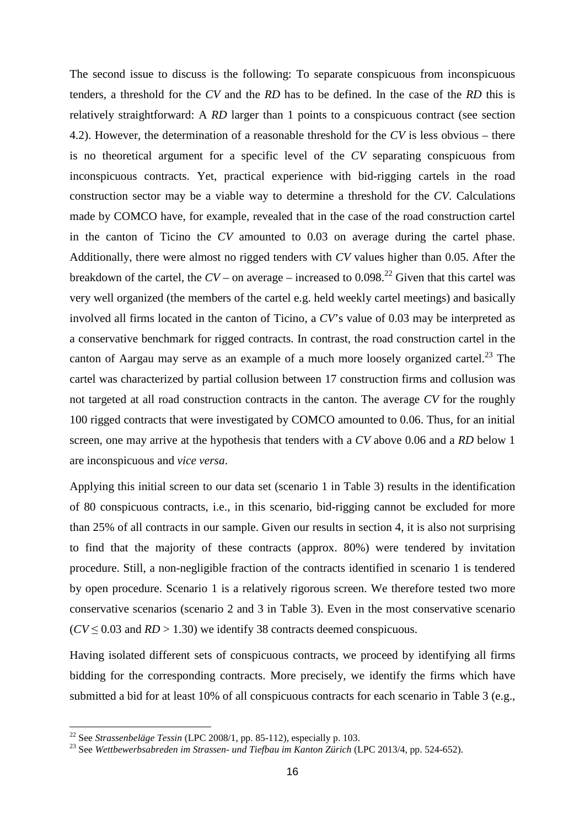The second issue to discuss is the following: To separate conspicuous from inconspicuous tenders, a threshold for the *CV* and the *RD* has to be defined. In the case of the *RD* this is relatively straightforward: A *RD* larger than 1 points to a conspicuous contract (see section 4.2). However, the determination of a reasonable threshold for the *CV* is less obvious – there is no theoretical argument for a specific level of the *CV* separating conspicuous from inconspicuous contracts. Yet, practical experience with bid-rigging cartels in the road construction sector may be a viable way to determine a threshold for the *CV*. Calculations made by COMCO have, for example, revealed that in the case of the road construction cartel in the canton of Ticino the *CV* amounted to 0.03 on average during the cartel phase. Additionally, there were almost no rigged tenders with *CV* values higher than 0.05. After the breakdown of the cartel, the  $CV -$  on average – increased to  $0.098<sup>22</sup>$  Given that this cartel was very well organized (the members of the cartel e.g. held weekly cartel meetings) and basically involved all firms located in the canton of Ticino, a *CV*'s value of 0.03 may be interpreted as a conservative benchmark for rigged contracts. In contrast, the road construction cartel in the canton of Aargau may serve as an example of a much more loosely organized cartel.<sup>23</sup> The cartel was characterized by partial collusion between 17 construction firms and collusion was not targeted at all road construction contracts in the canton. The average *CV* for the roughly 100 rigged contracts that were investigated by COMCO amounted to 0.06. Thus, for an initial screen, one may arrive at the hypothesis that tenders with a *CV* above 0.06 and a *RD* below 1 are inconspicuous and *vice versa*.

Applying this initial screen to our data set (scenario 1 in Table 3) results in the identification of 80 conspicuous contracts, i.e., in this scenario, bid-rigging cannot be excluded for more than 25% of all contracts in our sample. Given our results in section 4, it is also not surprising to find that the majority of these contracts (approx. 80%) were tendered by invitation procedure. Still, a non-negligible fraction of the contracts identified in scenario 1 is tendered by open procedure. Scenario 1 is a relatively rigorous screen. We therefore tested two more conservative scenarios (scenario 2 and 3 in Table 3). Even in the most conservative scenario  $(CV \le 0.03$  and  $RD > 1.30$ ) we identify 38 contracts deemed conspicuous.

Having isolated different sets of conspicuous contracts, we proceed by identifying all firms bidding for the corresponding contracts. More precisely, we identify the firms which have submitted a bid for at least 10% of all conspicuous contracts for each scenario in Table 3 (e.g.,

<sup>22</sup> See *Strassenbeläge Tessin* (LPC 2008/1, pp. 85-112), especially p. 103.

<sup>23</sup> See *Wettbewerbsabreden im Strassen- und Tiefbau im Kanton Zürich* (LPC 2013/4, pp. 524-652).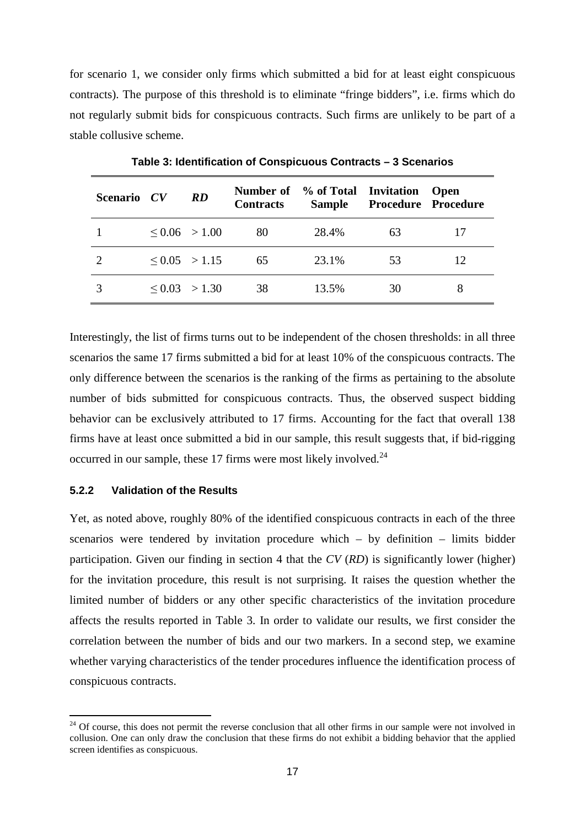for scenario 1, we consider only firms which submitted a bid for at least eight conspicuous contracts). The purpose of this threshold is to eliminate "fringe bidders", i.e. firms which do not regularly submit bids for conspicuous contracts. Such firms are unlikely to be part of a stable collusive scheme.

| Scenario CV | RD                 | <b>Contracts</b> | Number of % of Total Invitation<br><b>Sample</b> |    | <b>Open</b><br><b>Procedure Procedure</b> |
|-------------|--------------------|------------------|--------------------------------------------------|----|-------------------------------------------|
|             | $\leq 0.06$ > 1.00 | 80               | 28.4%                                            | 63 |                                           |
|             | $\leq 0.05$ > 1.15 | 65               | 23.1%                                            | 53 | 12                                        |
|             | $\leq$ 0.03 > 1.30 | 38               | 13.5%                                            | 30 | 8                                         |

**Table 3: Identification of Conspicuous Contracts – 3 Scenarios** 

Interestingly, the list of firms turns out to be independent of the chosen thresholds: in all three scenarios the same 17 firms submitted a bid for at least 10% of the conspicuous contracts. The only difference between the scenarios is the ranking of the firms as pertaining to the absolute number of bids submitted for conspicuous contracts. Thus, the observed suspect bidding behavior can be exclusively attributed to 17 firms. Accounting for the fact that overall 138 firms have at least once submitted a bid in our sample, this result suggests that, if bid-rigging occurred in our sample, these 17 firms were most likely involved. $^{24}$ 

#### **5.2.2 Validation of the Results**

 $\overline{a}$ 

Yet, as noted above, roughly 80% of the identified conspicuous contracts in each of the three scenarios were tendered by invitation procedure which – by definition – limits bidder participation. Given our finding in section 4 that the *CV* (*RD*) is significantly lower (higher) for the invitation procedure, this result is not surprising. It raises the question whether the limited number of bidders or any other specific characteristics of the invitation procedure affects the results reported in Table 3. In order to validate our results, we first consider the correlation between the number of bids and our two markers. In a second step, we examine whether varying characteristics of the tender procedures influence the identification process of conspicuous contracts.

<sup>&</sup>lt;sup>24</sup> Of course, this does not permit the reverse conclusion that all other firms in our sample were not involved in collusion. One can only draw the conclusion that these firms do not exhibit a bidding behavior that the applied screen identifies as conspicuous.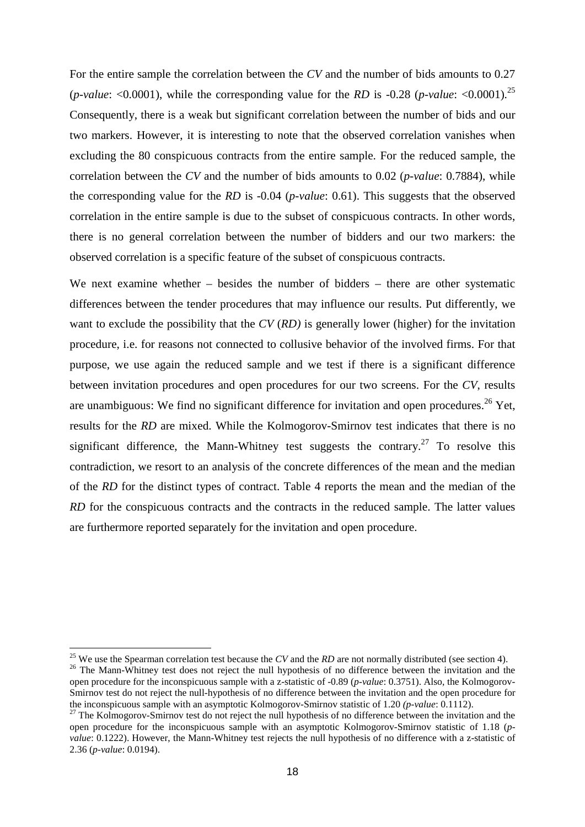For the entire sample the correlation between the *CV* and the number of bids amounts to 0.27 (*p-value*:  $\langle 0.0001 \rangle$ , while the corresponding value for the *RD* is -0.28 (*p-value*:  $\langle 0.0001 \rangle^{25}$ Consequently, there is a weak but significant correlation between the number of bids and our two markers. However, it is interesting to note that the observed correlation vanishes when excluding the 80 conspicuous contracts from the entire sample. For the reduced sample, the correlation between the *CV* and the number of bids amounts to 0.02 (*p-value*: 0.7884), while the corresponding value for the *RD* is -0.04 (*p-value*: 0.61). This suggests that the observed correlation in the entire sample is due to the subset of conspicuous contracts. In other words, there is no general correlation between the number of bidders and our two markers: the observed correlation is a specific feature of the subset of conspicuous contracts.

We next examine whether – besides the number of bidders – there are other systematic differences between the tender procedures that may influence our results. Put differently, we want to exclude the possibility that the *CV* (*RD)* is generally lower (higher) for the invitation procedure, i.e. for reasons not connected to collusive behavior of the involved firms. For that purpose, we use again the reduced sample and we test if there is a significant difference between invitation procedures and open procedures for our two screens. For the *CV*, results are unambiguous: We find no significant difference for invitation and open procedures.<sup>26</sup> Yet, results for the *RD* are mixed. While the Kolmogorov-Smirnov test indicates that there is no significant difference, the Mann-Whitney test suggests the contrary.<sup>27</sup> To resolve this contradiction, we resort to an analysis of the concrete differences of the mean and the median of the *RD* for the distinct types of contract. Table 4 reports the mean and the median of the *RD* for the conspicuous contracts and the contracts in the reduced sample. The latter values are furthermore reported separately for the invitation and open procedure.

<sup>&</sup>lt;sup>25</sup> We use the Spearman correlation test because the  $CV$  and the  $RD$  are not normally distributed (see section 4). <sup>26</sup> The Mann-Whitney test does not reject the null hypothesis of no difference between the invitation and the

open procedure for the inconspicuous sample with a z-statistic of -0.89 (*p-value*: 0.3751). Also, the Kolmogorov-Smirnov test do not reject the null-hypothesis of no difference between the invitation and the open procedure for the inconspicuous sample with an asymptotic Kolmogorov-Smirnov statistic of 1.20 *(p-value*: 0.1112).

 $27$  The Kolmogorov-Smirnov test do not reject the null hypothesis of no difference between the invitation and the open procedure for the inconspicuous sample with an asymptotic Kolmogorov-Smirnov statistic of 1.18 (*pvalue*: 0.1222). However, the Mann-Whitney test rejects the null hypothesis of no difference with a z-statistic of 2.36 (*p-value*: 0.0194).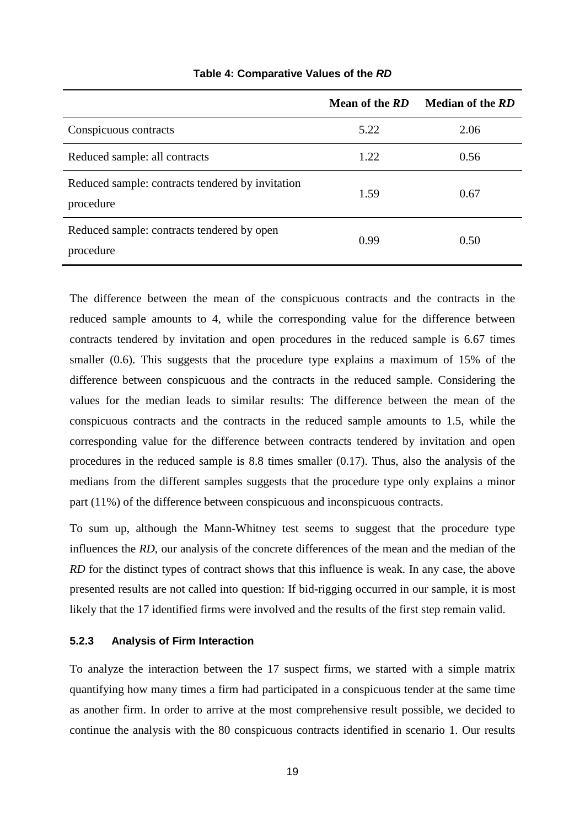|                                                               | Mean of the RD | <b>Median of the RD</b> |
|---------------------------------------------------------------|----------------|-------------------------|
| Conspicuous contracts                                         | 5.22           | 2.06                    |
| Reduced sample: all contracts                                 | 1.22           | 0.56                    |
| Reduced sample: contracts tendered by invitation<br>procedure | 1.59           | 0.67                    |
| Reduced sample: contracts tendered by open<br>procedure       | 0.99           | 0.50                    |

#### **Table 4: Comparative Values of the RD**

The difference between the mean of the conspicuous contracts and the contracts in the reduced sample amounts to 4, while the corresponding value for the difference between contracts tendered by invitation and open procedures in the reduced sample is 6.67 times smaller (0.6). This suggests that the procedure type explains a maximum of 15% of the difference between conspicuous and the contracts in the reduced sample. Considering the values for the median leads to similar results: The difference between the mean of the conspicuous contracts and the contracts in the reduced sample amounts to 1.5, while the corresponding value for the difference between contracts tendered by invitation and open procedures in the reduced sample is 8.8 times smaller (0.17). Thus, also the analysis of the medians from the different samples suggests that the procedure type only explains a minor part (11%) of the difference between conspicuous and inconspicuous contracts.

To sum up, although the Mann-Whitney test seems to suggest that the procedure type influences the *RD*, our analysis of the concrete differences of the mean and the median of the *RD* for the distinct types of contract shows that this influence is weak. In any case, the above presented results are not called into question: If bid-rigging occurred in our sample, it is most likely that the 17 identified firms were involved and the results of the first step remain valid.

#### **5.2.3 Analysis of Firm Interaction**

To analyze the interaction between the 17 suspect firms, we started with a simple matrix quantifying how many times a firm had participated in a conspicuous tender at the same time as another firm. In order to arrive at the most comprehensive result possible, we decided to continue the analysis with the 80 conspicuous contracts identified in scenario 1. Our results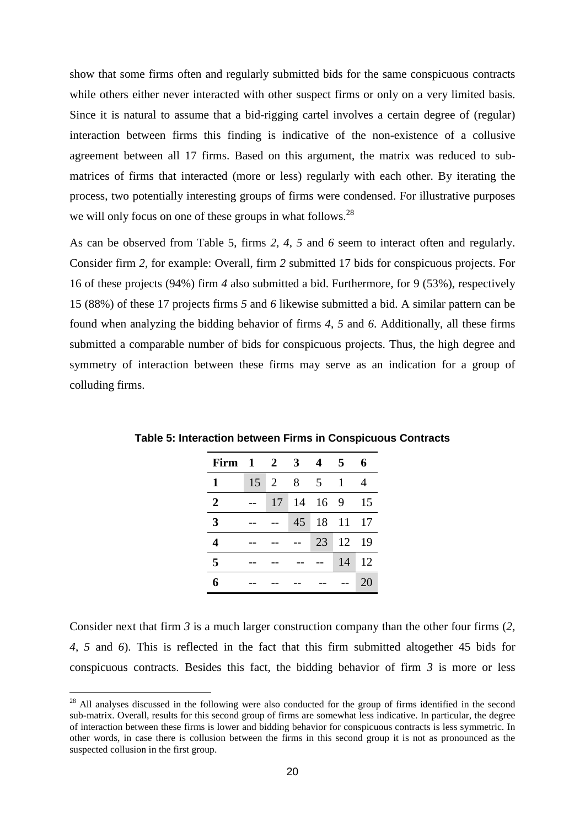show that some firms often and regularly submitted bids for the same conspicuous contracts while others either never interacted with other suspect firms or only on a very limited basis. Since it is natural to assume that a bid-rigging cartel involves a certain degree of (regular) interaction between firms this finding is indicative of the non-existence of a collusive agreement between all 17 firms. Based on this argument, the matrix was reduced to submatrices of firms that interacted (more or less) regularly with each other. By iterating the process, two potentially interesting groups of firms were condensed. For illustrative purposes we will only focus on one of these groups in what follows.<sup>28</sup>

As can be observed from Table 5, firms *2*, *4*, *5* and *6* seem to interact often and regularly. Consider firm *2,* for example: Overall, firm *2* submitted 17 bids for conspicuous projects. For 16 of these projects (94%) firm *4* also submitted a bid. Furthermore, for 9 (53%), respectively 15 (88%) of these 17 projects firms *5* and *6* likewise submitted a bid. A similar pattern can be found when analyzing the bidding behavior of firms *4*, *5* and *6*. Additionally, all these firms submitted a comparable number of bids for conspicuous projects. Thus, the high degree and symmetry of interaction between these firms may serve as an indication for a group of colluding firms.

| Firm $1 \quad 2 \quad 3$ |    |    |   | 4               | 5     | 6  |
|--------------------------|----|----|---|-----------------|-------|----|
| 1                        | 15 | 2  | 8 | $5\overline{)}$ | 1     |    |
| $\overline{2}$           |    | 17 |   | 14 16 9         |       | 15 |
| $\overline{3}$           |    |    |   | 45 18 11 17     |       |    |
| 4                        |    |    |   | 23              | 12 19 |    |
| 5                        |    |    |   |                 | 14    | 12 |
| 6                        |    |    |   |                 |       | 20 |

**Table 5: Interaction between Firms in Conspicuous Contracts** 

Consider next that firm *3* is a much larger construction company than the other four firms (*2*, *4*, *5* and *6*). This is reflected in the fact that this firm submitted altogether 45 bids for conspicuous contracts. Besides this fact, the bidding behavior of firm *3* is more or less

 $^{28}$  All analyses discussed in the following were also conducted for the group of firms identified in the second sub-matrix. Overall, results for this second group of firms are somewhat less indicative. In particular, the degree of interaction between these firms is lower and bidding behavior for conspicuous contracts is less symmetric. In other words, in case there is collusion between the firms in this second group it is not as pronounced as the suspected collusion in the first group.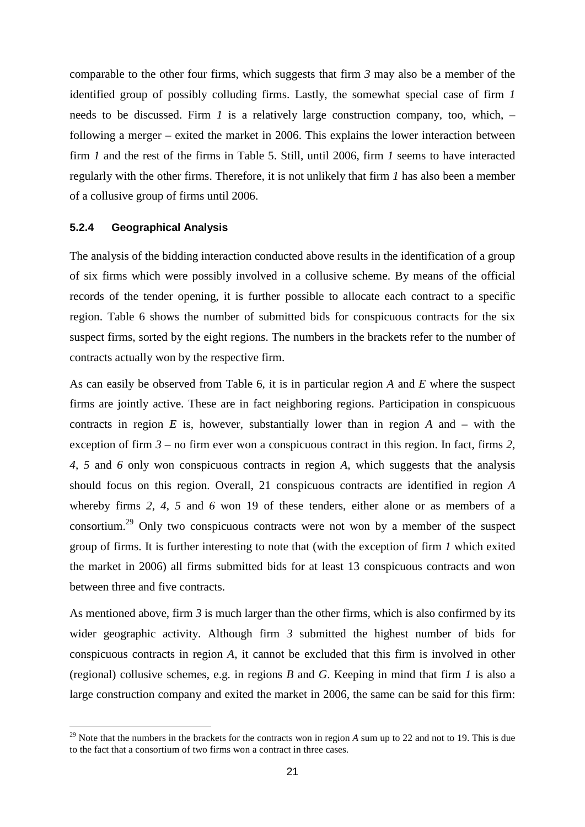comparable to the other four firms, which suggests that firm *3* may also be a member of the identified group of possibly colluding firms. Lastly, the somewhat special case of firm *1* needs to be discussed. Firm *1* is a relatively large construction company, too, which, – following a merger – exited the market in 2006. This explains the lower interaction between firm *1* and the rest of the firms in Table 5. Still, until 2006, firm *1* seems to have interacted regularly with the other firms. Therefore, it is not unlikely that firm *1* has also been a member of a collusive group of firms until 2006.

#### **5.2.4 Geographical Analysis**

 $\overline{a}$ 

The analysis of the bidding interaction conducted above results in the identification of a group of six firms which were possibly involved in a collusive scheme. By means of the official records of the tender opening, it is further possible to allocate each contract to a specific region. Table 6 shows the number of submitted bids for conspicuous contracts for the six suspect firms, sorted by the eight regions. The numbers in the brackets refer to the number of contracts actually won by the respective firm.

As can easily be observed from Table 6, it is in particular region *A* and *E* where the suspect firms are jointly active. These are in fact neighboring regions. Participation in conspicuous contracts in region *E* is, however, substantially lower than in region *A* and – with the exception of firm *3* – no firm ever won a conspicuous contract in this region. In fact, firms *2*, *4*, *5* and *6* only won conspicuous contracts in region *A*, which suggests that the analysis should focus on this region. Overall, 21 conspicuous contracts are identified in region *A* whereby firms *2*, *4*, *5* and *6* won 19 of these tenders, either alone or as members of a consortium.<sup>29</sup> Only two conspicuous contracts were not won by a member of the suspect group of firms. It is further interesting to note that (with the exception of firm *1* which exited the market in 2006) all firms submitted bids for at least 13 conspicuous contracts and won between three and five contracts.

As mentioned above, firm *3* is much larger than the other firms, which is also confirmed by its wider geographic activity. Although firm *3* submitted the highest number of bids for conspicuous contracts in region *A*, it cannot be excluded that this firm is involved in other (regional) collusive schemes, e.g. in regions *B* and *G*. Keeping in mind that firm *1* is also a large construction company and exited the market in 2006, the same can be said for this firm:

<sup>&</sup>lt;sup>29</sup> Note that the numbers in the brackets for the contracts won in region *A* sum up to 22 and not to 19. This is due to the fact that a consortium of two firms won a contract in three cases.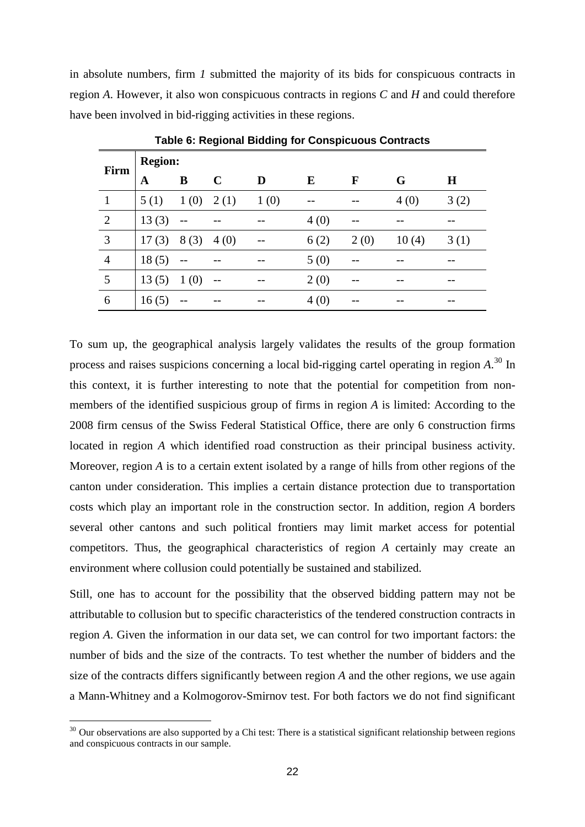in absolute numbers, firm *1* submitted the majority of its bids for conspicuous contracts in region *A*. However, it also won conspicuous contracts in regions *C* and *H* and could therefore have been involved in bid-rigging activities in these regions.

| Firm           | <b>Region:</b> |       |      |      |      |              |       |         |  |
|----------------|----------------|-------|------|------|------|--------------|-------|---------|--|
|                | A              | B     | C    | D    | E    | $\mathbf{F}$ | G     | $\bf H$ |  |
| $\mathbf{1}$   | 5(1)           | 1(0)  | 2(1) | 1(0) |      |              | 4(0)  | 3(2)    |  |
| 2              | 13(3)          |       |      |      | 4(0) |              |       |         |  |
| 3              | 17(3)          | 8(3)  | 4(0) |      | 6(2) | 2(0)         | 10(4) | 3(1)    |  |
| $\overline{4}$ | 18(5)          | $-$   |      |      | 5(0) |              |       |         |  |
| 5              | 13(5)          | 1(0)  | $-$  |      | 2(0) |              |       |         |  |
| 6              | 16(5)          | $- -$ |      |      | 4(0) |              |       |         |  |

**Table 6: Regional Bidding for Conspicuous Contracts** 

To sum up, the geographical analysis largely validates the results of the group formation process and raises suspicions concerning a local bid-rigging cartel operating in region *A*. <sup>30</sup> In this context, it is further interesting to note that the potential for competition from nonmembers of the identified suspicious group of firms in region *A* is limited: According to the 2008 firm census of the Swiss Federal Statistical Office, there are only 6 construction firms located in region *A* which identified road construction as their principal business activity. Moreover, region *A* is to a certain extent isolated by a range of hills from other regions of the canton under consideration. This implies a certain distance protection due to transportation costs which play an important role in the construction sector. In addition, region *A* borders several other cantons and such political frontiers may limit market access for potential competitors. Thus, the geographical characteristics of region *A* certainly may create an environment where collusion could potentially be sustained and stabilized.

Still, one has to account for the possibility that the observed bidding pattern may not be attributable to collusion but to specific characteristics of the tendered construction contracts in region *A*. Given the information in our data set, we can control for two important factors: the number of bids and the size of the contracts. To test whether the number of bidders and the size of the contracts differs significantly between region *A* and the other regions, we use again a Mann-Whitney and a Kolmogorov-Smirnov test. For both factors we do not find significant

<sup>&</sup>lt;sup>30</sup> Our observations are also supported by a Chi test: There is a statistical significant relationship between regions and conspicuous contracts in our sample.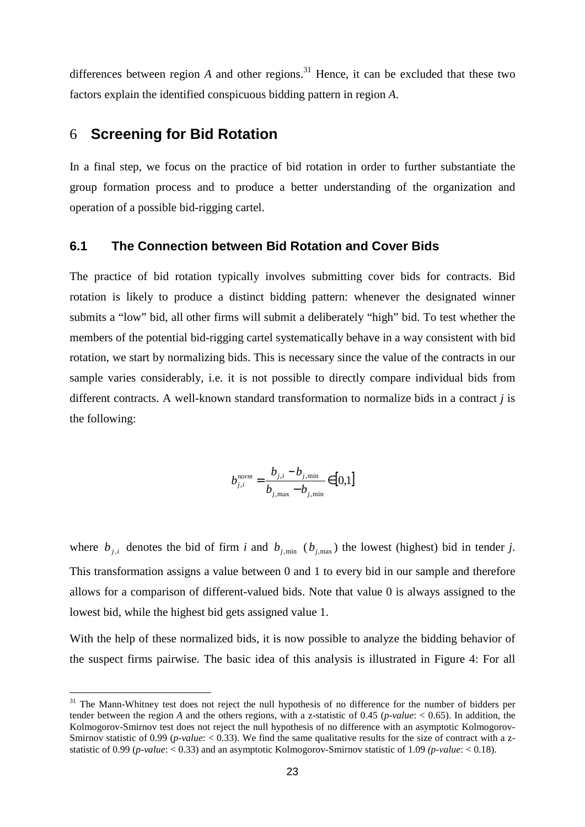differences between region *A* and other regions.<sup>31</sup> Hence, it can be excluded that these two factors explain the identified conspicuous bidding pattern in region *A*.

## 6 **Screening for Bid Rotation**

 $\overline{a}$ 

In a final step, we focus on the practice of bid rotation in order to further substantiate the group formation process and to produce a better understanding of the organization and operation of a possible bid-rigging cartel.

#### **6.1 The Connection between Bid Rotation and Cover Bids**

The practice of bid rotation typically involves submitting cover bids for contracts. Bid rotation is likely to produce a distinct bidding pattern: whenever the designated winner submits a "low" bid, all other firms will submit a deliberately "high" bid. To test whether the members of the potential bid-rigging cartel systematically behave in a way consistent with bid rotation, we start by normalizing bids. This is necessary since the value of the contracts in our sample varies considerably, i.e. it is not possible to directly compare individual bids from different contracts. A well-known standard transformation to normalize bids in a contract *j* is the following:

$$
b_{j,i}^{norm} = \frac{b_{j,i} - b_{j,\min}}{b_{j,\max} - b_{j,\min}} \in [0,1]
$$

where  $b_{j,i}$  denotes the bid of firm *i* and  $b_{j,\text{min}}$  ( $b_{j,\text{max}}$ ) the lowest (highest) bid in tender *j*. This transformation assigns a value between 0 and 1 to every bid in our sample and therefore allows for a comparison of different-valued bids. Note that value 0 is always assigned to the lowest bid, while the highest bid gets assigned value 1.

With the help of these normalized bids, it is now possible to analyze the bidding behavior of the suspect firms pairwise. The basic idea of this analysis is illustrated in Figure 4: For all

<sup>&</sup>lt;sup>31</sup> The Mann-Whitney test does not reject the null hypothesis of no difference for the number of bidders per tender between the region *A* and the others regions, with a z-statistic of 0.45 (*p-value*: < 0.65). In addition, the Kolmogorov-Smirnov test does not reject the null hypothesis of no difference with an asymptotic Kolmogorov-Smirnov statistic of 0.99 (*p-value*:  $\langle 0.33 \rangle$ . We find the same qualitative results for the size of contract with a zstatistic of 0.99 (*p-value*: < 0.33) and an asymptotic Kolmogorov-Smirnov statistic of 1.09 *(p-value*: < 0.18).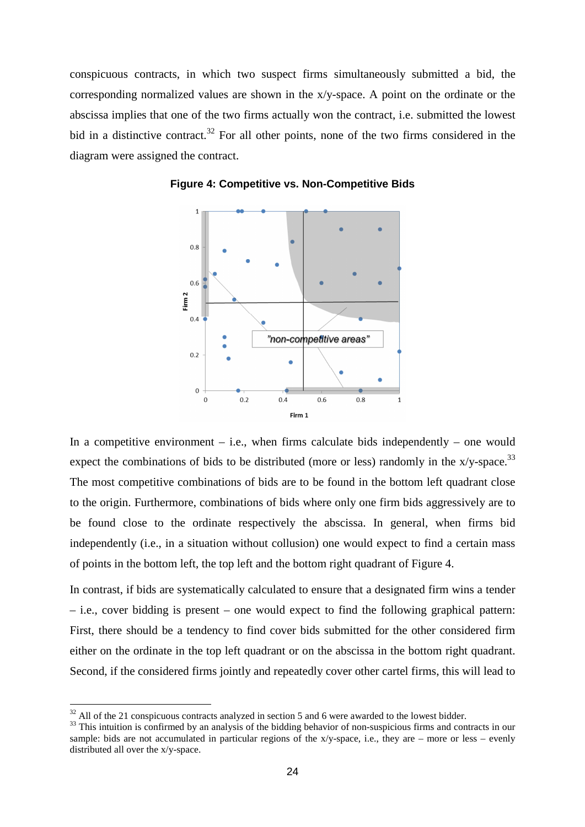conspicuous contracts, in which two suspect firms simultaneously submitted a bid, the corresponding normalized values are shown in the x/y-space. A point on the ordinate or the abscissa implies that one of the two firms actually won the contract, i.e. submitted the lowest bid in a distinctive contract.<sup>32</sup> For all other points, none of the two firms considered in the diagram were assigned the contract.



**Figure 4: Competitive vs. Non-Competitive Bids** 

In a competitive environment  $-$  i.e., when firms calculate bids independently  $-$  one would expect the combinations of bids to be distributed (more or less) randomly in the  $x/y$ -space.<sup>33</sup> The most competitive combinations of bids are to be found in the bottom left quadrant close to the origin. Furthermore, combinations of bids where only one firm bids aggressively are to be found close to the ordinate respectively the abscissa. In general, when firms bid independently (i.e., in a situation without collusion) one would expect to find a certain mass of points in the bottom left, the top left and the bottom right quadrant of Figure 4.

In contrast, if bids are systematically calculated to ensure that a designated firm wins a tender – i.e., cover bidding is present – one would expect to find the following graphical pattern: First, there should be a tendency to find cover bids submitted for the other considered firm either on the ordinate in the top left quadrant or on the abscissa in the bottom right quadrant. Second, if the considered firms jointly and repeatedly cover other cartel firms, this will lead to

 $32$  All of the 21 conspicuous contracts analyzed in section 5 and 6 were awarded to the lowest bidder.

<sup>&</sup>lt;sup>33</sup> This intuition is confirmed by an analysis of the bidding behavior of non-suspicious firms and contracts in our sample: bids are not accumulated in particular regions of the  $x/y$ -space, i.e., they are – more or less – evenly distributed all over the x/y-space.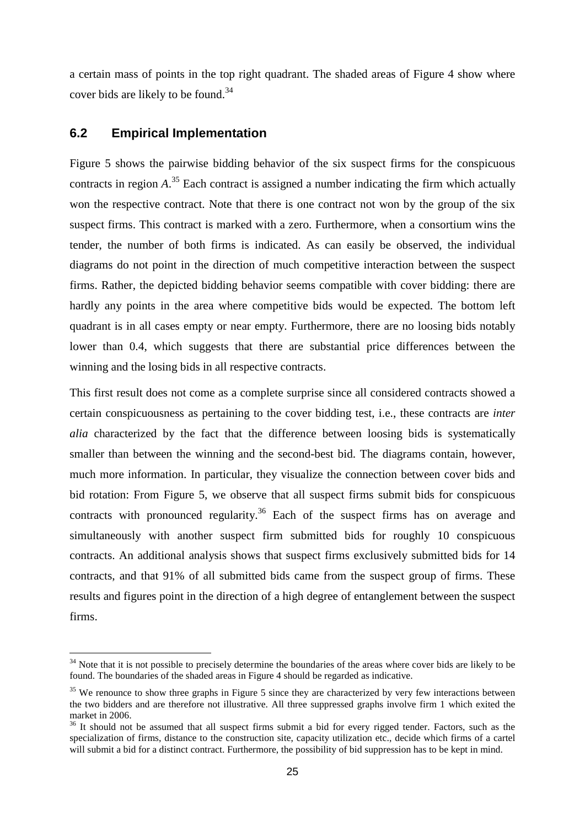a certain mass of points in the top right quadrant. The shaded areas of Figure 4 show where cover bids are likely to be found.<sup>34</sup>

## **6.2 Empirical Implementation**

 $\overline{a}$ 

Figure 5 shows the pairwise bidding behavior of the six suspect firms for the conspicuous contracts in region *A*. <sup>35</sup> Each contract is assigned a number indicating the firm which actually won the respective contract. Note that there is one contract not won by the group of the six suspect firms. This contract is marked with a zero. Furthermore, when a consortium wins the tender, the number of both firms is indicated. As can easily be observed, the individual diagrams do not point in the direction of much competitive interaction between the suspect firms. Rather, the depicted bidding behavior seems compatible with cover bidding: there are hardly any points in the area where competitive bids would be expected. The bottom left quadrant is in all cases empty or near empty. Furthermore, there are no loosing bids notably lower than 0.4, which suggests that there are substantial price differences between the winning and the losing bids in all respective contracts.

This first result does not come as a complete surprise since all considered contracts showed a certain conspicuousness as pertaining to the cover bidding test, i.e., these contracts are *inter alia* characterized by the fact that the difference between loosing bids is systematically smaller than between the winning and the second-best bid. The diagrams contain, however, much more information. In particular, they visualize the connection between cover bids and bid rotation: From Figure 5, we observe that all suspect firms submit bids for conspicuous contracts with pronounced regularity.<sup>36</sup> Each of the suspect firms has on average and simultaneously with another suspect firm submitted bids for roughly 10 conspicuous contracts. An additional analysis shows that suspect firms exclusively submitted bids for 14 contracts, and that 91% of all submitted bids came from the suspect group of firms. These results and figures point in the direction of a high degree of entanglement between the suspect firms.

 $34$  Note that it is not possible to precisely determine the boundaries of the areas where cover bids are likely to be found. The boundaries of the shaded areas in Figure 4 should be regarded as indicative.

<sup>&</sup>lt;sup>35</sup> We renounce to show three graphs in Figure 5 since they are characterized by very few interactions between the two bidders and are therefore not illustrative. All three suppressed graphs involve firm 1 which exited the market in 2006.

 $36$  It should not be assumed that all suspect firms submit a bid for every rigged tender. Factors, such as the specialization of firms, distance to the construction site, capacity utilization etc., decide which firms of a cartel will submit a bid for a distinct contract. Furthermore, the possibility of bid suppression has to be kept in mind.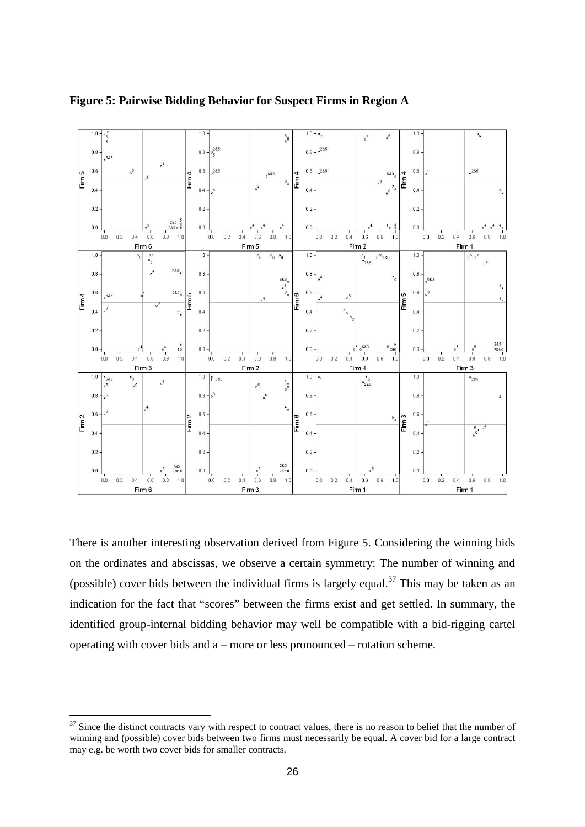

**Figure 5: Pairwise Bidding Behavior for Suspect Firms in Region A**

There is another interesting observation derived from Figure 5. Considering the winning bids on the ordinates and abscissas, we observe a certain symmetry: The number of winning and (possible) cover bids between the individual firms is largely equal.<sup>37</sup> This may be taken as an indication for the fact that "scores" between the firms exist and get settled. In summary, the identified group-internal bidding behavior may well be compatible with a bid-rigging cartel operating with cover bids and a – more or less pronounced – rotation scheme.

Since the distinct contracts vary with respect to contract values, there is no reason to belief that the number of winning and (possible) cover bids between two firms must necessarily be equal. A cover bid for a large contract may e.g. be worth two cover bids for smaller contracts.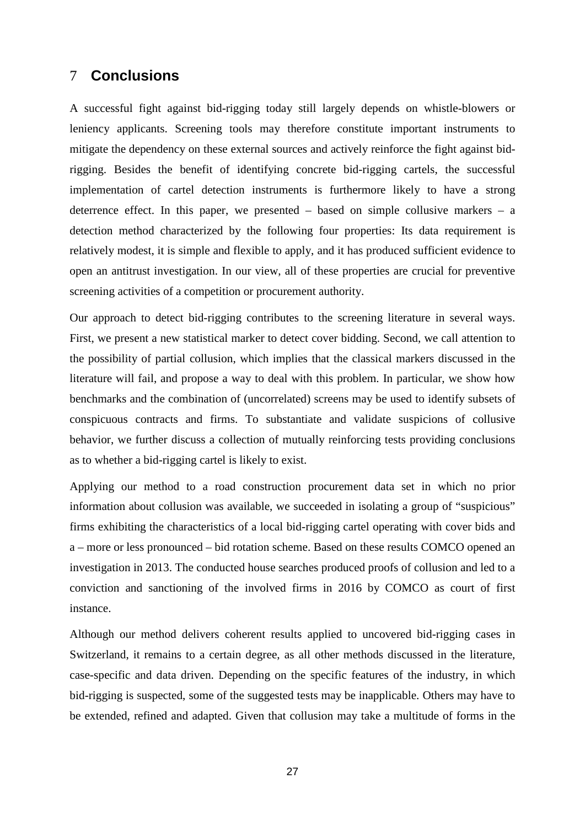# 7 **Conclusions**

A successful fight against bid-rigging today still largely depends on whistle-blowers or leniency applicants. Screening tools may therefore constitute important instruments to mitigate the dependency on these external sources and actively reinforce the fight against bidrigging. Besides the benefit of identifying concrete bid-rigging cartels, the successful implementation of cartel detection instruments is furthermore likely to have a strong deterrence effect. In this paper, we presented – based on simple collusive markers – a detection method characterized by the following four properties: Its data requirement is relatively modest, it is simple and flexible to apply, and it has produced sufficient evidence to open an antitrust investigation. In our view, all of these properties are crucial for preventive screening activities of a competition or procurement authority.

Our approach to detect bid-rigging contributes to the screening literature in several ways. First, we present a new statistical marker to detect cover bidding. Second, we call attention to the possibility of partial collusion, which implies that the classical markers discussed in the literature will fail, and propose a way to deal with this problem. In particular, we show how benchmarks and the combination of (uncorrelated) screens may be used to identify subsets of conspicuous contracts and firms. To substantiate and validate suspicions of collusive behavior, we further discuss a collection of mutually reinforcing tests providing conclusions as to whether a bid-rigging cartel is likely to exist.

Applying our method to a road construction procurement data set in which no prior information about collusion was available, we succeeded in isolating a group of "suspicious" firms exhibiting the characteristics of a local bid-rigging cartel operating with cover bids and a – more or less pronounced – bid rotation scheme. Based on these results COMCO opened an investigation in 2013. The conducted house searches produced proofs of collusion and led to a conviction and sanctioning of the involved firms in 2016 by COMCO as court of first instance.

Although our method delivers coherent results applied to uncovered bid-rigging cases in Switzerland, it remains to a certain degree, as all other methods discussed in the literature, case-specific and data driven. Depending on the specific features of the industry, in which bid-rigging is suspected, some of the suggested tests may be inapplicable. Others may have to be extended, refined and adapted. Given that collusion may take a multitude of forms in the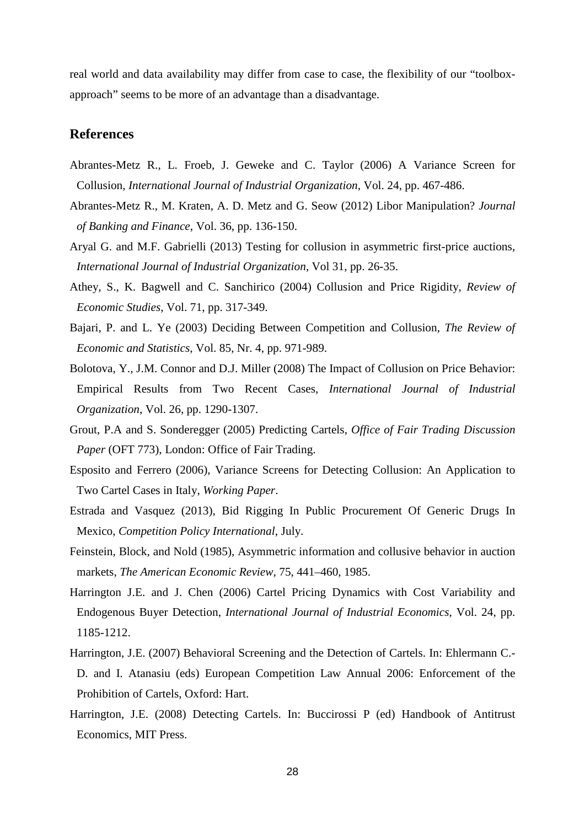real world and data availability may differ from case to case, the flexibility of our "toolboxapproach" seems to be more of an advantage than a disadvantage.

## **References**

- Abrantes-Metz R., L. Froeb, J. Geweke and C. Taylor (2006) A Variance Screen for Collusion, *International Journal of Industrial Organization*, Vol. 24, pp. 467-486.
- Abrantes-Metz R., M. Kraten, A. D. Metz and G. Seow (2012) Libor Manipulation? *Journal of Banking and Finance*, Vol. 36, pp. 136-150.
- Aryal G. and M.F. Gabrielli (2013) Testing for collusion in asymmetric first-price auctions, *International Journal of Industrial Organization*, Vol 31, pp. 26-35.
- Athey, S., K. Bagwell and C. Sanchirico (2004) Collusion and Price Rigidity, *Review of Economic Studies*, Vol. 71, pp. 317-349.
- Bajari, P. and L. Ye (2003) Deciding Between Competition and Collusion, *The Review of Economic and Statistics*, Vol. 85, Nr. 4, pp. 971-989.
- Bolotova, Y., J.M. Connor and D.J. Miller (2008) The Impact of Collusion on Price Behavior: Empirical Results from Two Recent Cases, *International Journal of Industrial Organization*, Vol. 26, pp. 1290-1307.
- Grout, P.A and S. Sonderegger (2005) Predicting Cartels, *Office of Fair Trading Discussion Paper* (OFT 773), London: Office of Fair Trading.
- Esposito and Ferrero (2006), Variance Screens for Detecting Collusion: An Application to Two Cartel Cases in Italy, *Working Paper*.
- Estrada and Vasquez (2013), Bid Rigging In Public Procurement Of Generic Drugs In Mexico, *Competition Policy International*, July.
- Feinstein, Block, and Nold (1985), Asymmetric information and collusive behavior in auction markets, *The American Economic Review*, 75, 441–460, 1985.
- Harrington J.E. and J. Chen (2006) Cartel Pricing Dynamics with Cost Variability and Endogenous Buyer Detection, *International Journal of Industrial Economics*, Vol. 24, pp. 1185-1212.
- Harrington, J.E. (2007) Behavioral Screening and the Detection of Cartels. In: Ehlermann C.- D. and I. Atanasiu (eds) European Competition Law Annual 2006: Enforcement of the Prohibition of Cartels, Oxford: Hart.
- Harrington, J.E. (2008) Detecting Cartels. In: Buccirossi P (ed) Handbook of Antitrust Economics, MIT Press.